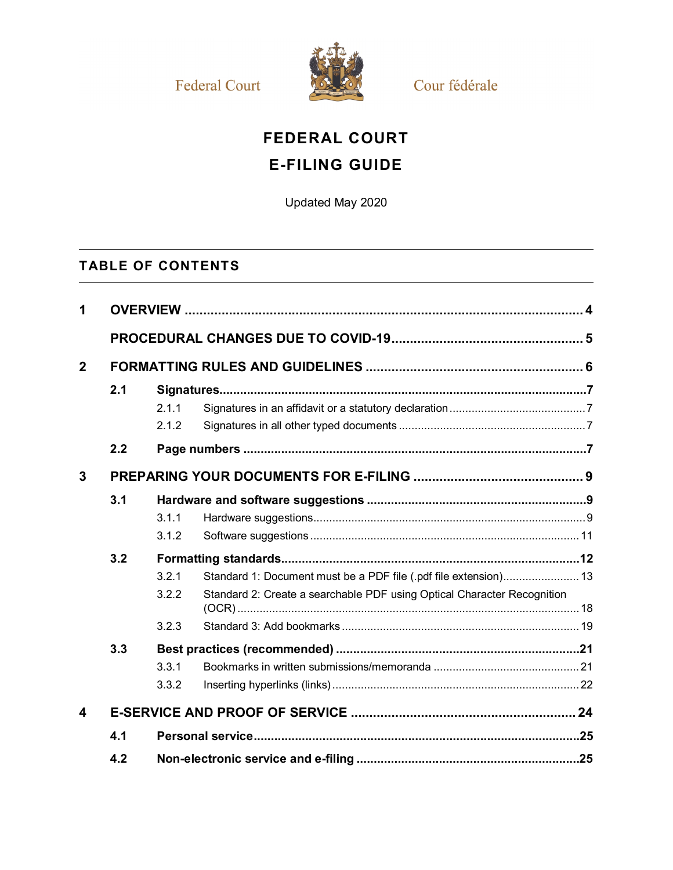**Federal Court** 



Cour fédérale

# **FEDERAL COURT**

# **E-FILING GUIDE**

Updated May 2020

# **TABLE OF CONTENTS**

| 1            |     |                         |                                                                                                                                             |  |
|--------------|-----|-------------------------|---------------------------------------------------------------------------------------------------------------------------------------------|--|
|              |     |                         |                                                                                                                                             |  |
| $\mathbf{2}$ |     |                         |                                                                                                                                             |  |
|              | 2.1 | 2.1.1<br>2.1.2          |                                                                                                                                             |  |
|              | 2.2 |                         |                                                                                                                                             |  |
| 3            |     |                         |                                                                                                                                             |  |
|              | 3.1 | 3.1.1<br>3.1.2          |                                                                                                                                             |  |
|              | 3.2 | 3.2.1<br>3.2.2<br>3.2.3 | Standard 1: Document must be a PDF file (.pdf file extension) 13<br>Standard 2: Create a searchable PDF using Optical Character Recognition |  |
|              | 3.3 | 3.3.1<br>3.3.2          |                                                                                                                                             |  |
| 4            |     |                         |                                                                                                                                             |  |
|              | 4.1 |                         |                                                                                                                                             |  |
|              | 4.2 |                         |                                                                                                                                             |  |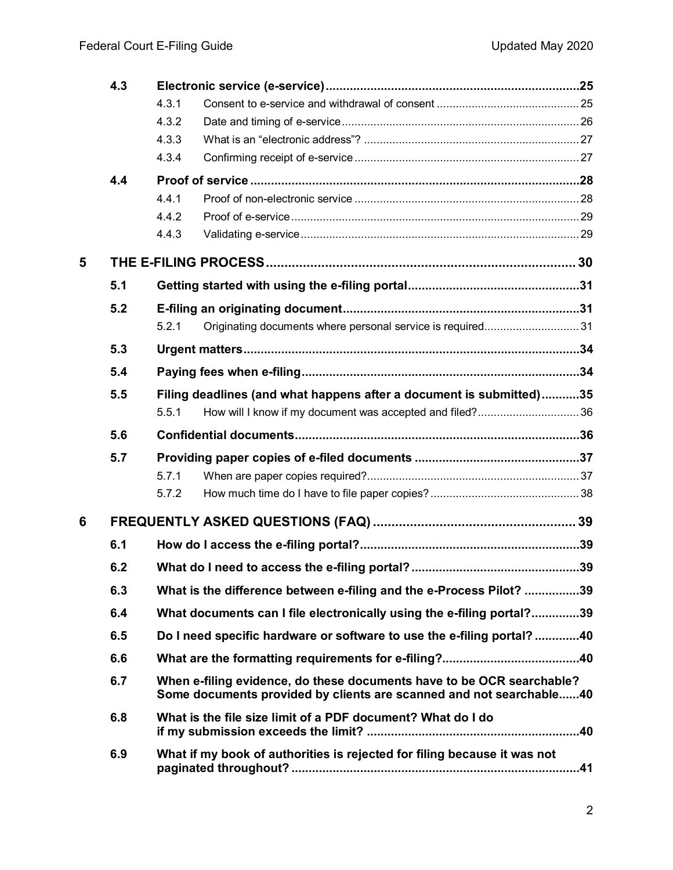|   | 4.3 |                                                                                                                                              |                                                                          |  |  |
|---|-----|----------------------------------------------------------------------------------------------------------------------------------------------|--------------------------------------------------------------------------|--|--|
|   |     | 4.3.1                                                                                                                                        |                                                                          |  |  |
|   |     | 4.3.2                                                                                                                                        |                                                                          |  |  |
|   |     | 4.3.3                                                                                                                                        |                                                                          |  |  |
|   |     | 4.3.4                                                                                                                                        |                                                                          |  |  |
|   | 4.4 |                                                                                                                                              |                                                                          |  |  |
|   |     | 4.4.1                                                                                                                                        |                                                                          |  |  |
|   |     | 4.4.2                                                                                                                                        |                                                                          |  |  |
|   |     | 4.4.3                                                                                                                                        |                                                                          |  |  |
| 5 |     |                                                                                                                                              |                                                                          |  |  |
|   | 5.1 |                                                                                                                                              |                                                                          |  |  |
|   | 5.2 |                                                                                                                                              |                                                                          |  |  |
|   |     | 5.2.1                                                                                                                                        | Originating documents where personal service is required31               |  |  |
|   | 5.3 |                                                                                                                                              |                                                                          |  |  |
|   | 5.4 |                                                                                                                                              |                                                                          |  |  |
|   | 5.5 |                                                                                                                                              | Filing deadlines (and what happens after a document is submitted)35      |  |  |
|   |     | 5.5.1                                                                                                                                        | How will I know if my document was accepted and filed?36                 |  |  |
|   | 5.6 |                                                                                                                                              |                                                                          |  |  |
|   | 5.7 |                                                                                                                                              |                                                                          |  |  |
|   |     | 5.7.1                                                                                                                                        |                                                                          |  |  |
|   |     | 5.7.2                                                                                                                                        |                                                                          |  |  |
| 6 |     |                                                                                                                                              |                                                                          |  |  |
|   | 6.1 |                                                                                                                                              |                                                                          |  |  |
|   | 6.2 | .39                                                                                                                                          |                                                                          |  |  |
|   | 6.3 | What is the difference between e-filing and the e-Process Pilot? 39                                                                          |                                                                          |  |  |
|   | 6.4 | What documents can I file electronically using the e-filing portal?39                                                                        |                                                                          |  |  |
|   | 6.5 | Do I need specific hardware or software to use the e-filing portal?40                                                                        |                                                                          |  |  |
|   | 6.6 |                                                                                                                                              |                                                                          |  |  |
|   | 6.7 | When e-filing evidence, do these documents have to be OCR searchable?<br>Some documents provided by clients are scanned and not searchable40 |                                                                          |  |  |
|   | 6.8 | What is the file size limit of a PDF document? What do I do                                                                                  |                                                                          |  |  |
|   | 6.9 |                                                                                                                                              | What if my book of authorities is rejected for filing because it was not |  |  |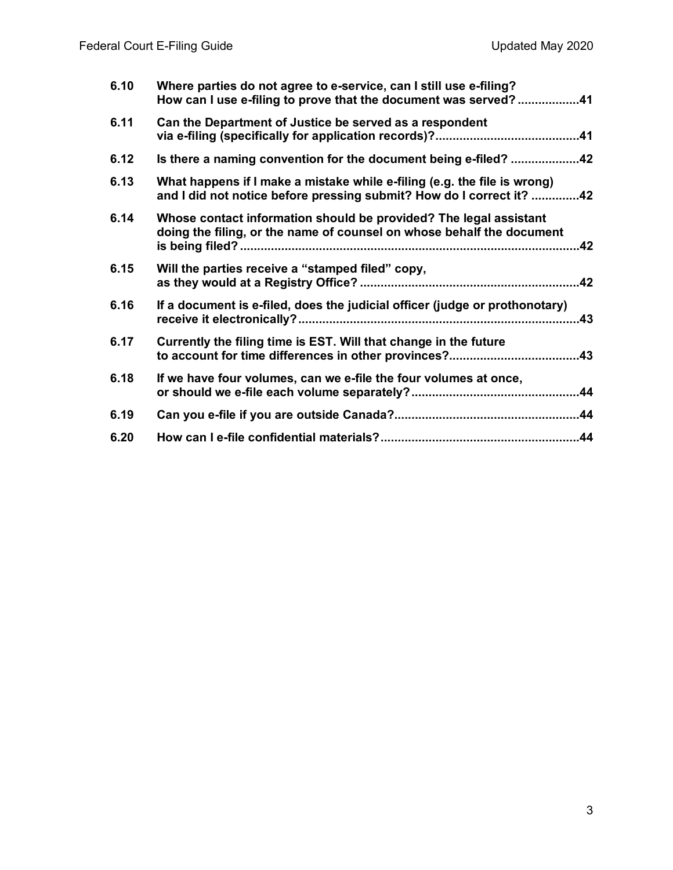| 6.10 | Where parties do not agree to e-service, can I still use e-filing?<br>How can I use e-filing to prove that the document was served?41            |
|------|--------------------------------------------------------------------------------------------------------------------------------------------------|
| 6.11 | Can the Department of Justice be served as a respondent                                                                                          |
| 6.12 | Is there a naming convention for the document being e-filed? 42                                                                                  |
| 6.13 | What happens if I make a mistake while e-filing (e.g. the file is wrong)<br>and I did not notice before pressing submit? How do I correct it? 42 |
| 6.14 | Whose contact information should be provided? The legal assistant<br>doing the filing, or the name of counsel on whose behalf the document       |
| 6.15 | Will the parties receive a "stamped filed" copy,                                                                                                 |
| 6.16 | If a document is e-filed, does the judicial officer (judge or prothonotary)<br>.43                                                               |
| 6.17 | Currently the filing time is EST. Will that change in the future                                                                                 |
| 6.18 | If we have four volumes, can we e-file the four volumes at once,                                                                                 |
| 6.19 |                                                                                                                                                  |
| 6.20 |                                                                                                                                                  |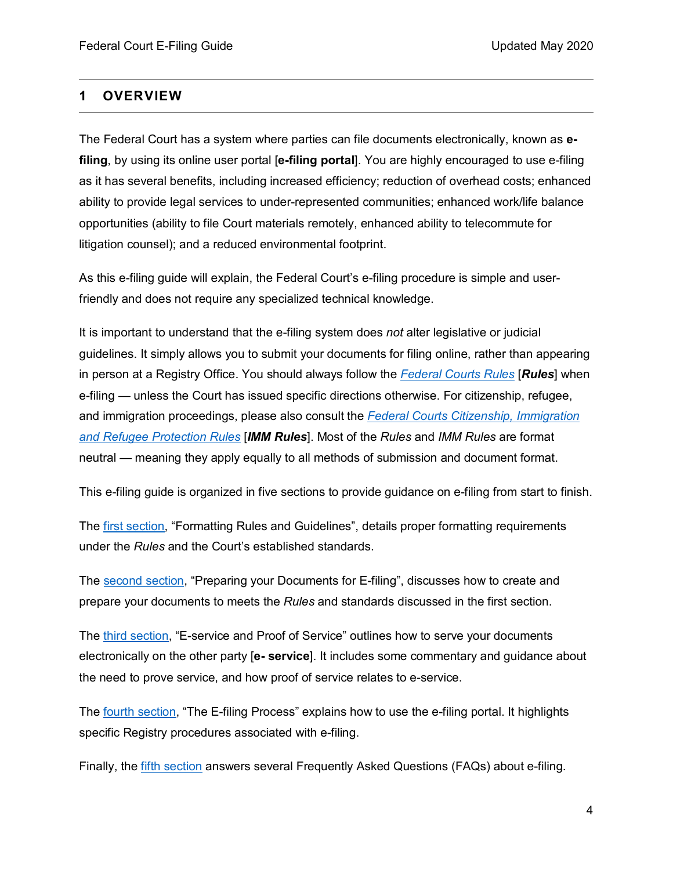### <span id="page-3-0"></span>**1 OVERVIEW**

The Federal Court has a system where parties can file documents electronically, known as **efiling**, by using its online user portal [**e-filing portal**]. You are highly encouraged to use e-filing as it has several benefits, including increased efficiency; reduction of overhead costs; enhanced ability to provide legal services to under-represented communities; enhanced work/life balance opportunities (ability to file Court materials remotely, enhanced ability to telecommute for litigation counsel); and a reduced environmental footprint.

As this e-filing guide will explain, the Federal Court's e-filing procedure is simple and userfriendly and does not require any specialized technical knowledge.

It is important to understand that the e-filing system does *not* alter legislative or judicial guidelines. It simply allows you to submit your documents for filing online, rather than appearing in person at a Registry Office. You should always follow the *[Federal Courts Rules](https://laws-lois.justice.gc.ca/eng/regulations/sor-98-106/index.html)* [*Rules*] when e-filing — unless the Court has issued specific directions otherwise. For citizenship, refugee, and immigration proceedings, please also consult the *[Federal Courts Citizenship, Immigration](https://laws-lois.justice.gc.ca/eng/regulations/sor-93-22/index.html)  [and Refugee Protection Rules](https://laws-lois.justice.gc.ca/eng/regulations/sor-93-22/index.html)* [*IMM Rules*]. Most of the *Rules* and *IMM Rules* are format neutral — meaning they apply equally to all methods of submission and document format.

This e-filing guide is organized in five sections to provide guidance on e-filing from start to finish.

The [first section,](#page-5-0) "Formatting Rules and Guidelines", details proper formatting requirements under the *Rules* and the Court's established standards.

The [second section,](#page-8-0) "Preparing your Documents for E-filing", discusses how to create and prepare your documents to meets the *Rules* and standards discussed in the first section.

The third [section,](#page-8-0) "E-service and Proof of Service" outlines how to serve your documents electronically on the other party [**e- service**]. It includes some commentary and guidance about the need to prove service, and how proof of service relates to e-service.

The fourth [section,](#page-29-0) "The E-filing Process" explains how to use the e-filing portal. It highlights specific Registry procedures associated with e-filing.

Finally, the fifth [section](#page-38-0) answers several Frequently Asked Questions (FAQs) about e-filing.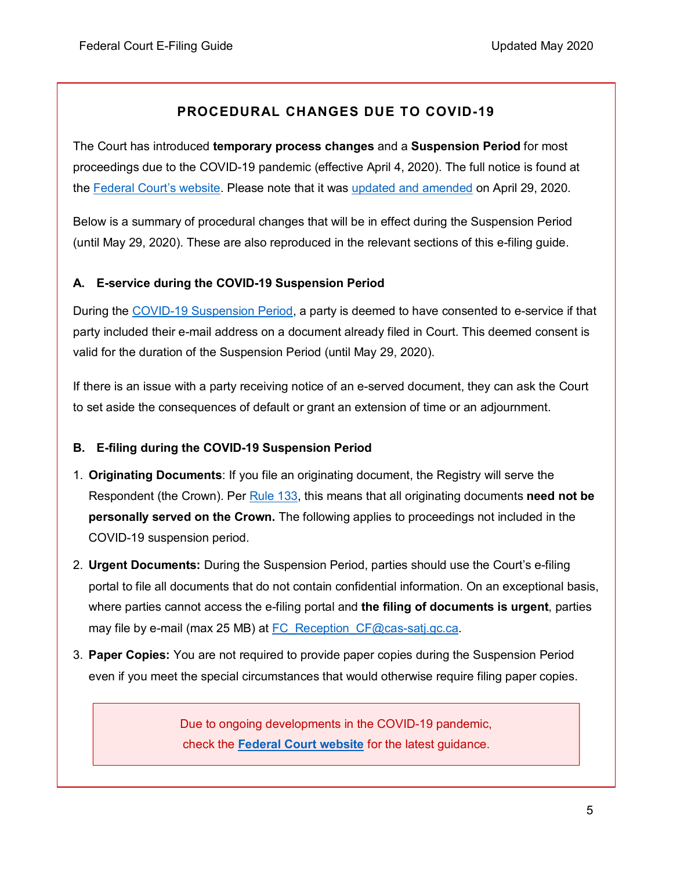### **PROCEDURAL CHANGES DUE TO COVID-19**

The Court has introduced **temporary process changes** and a **Suspension Period** for most proceedings due to the COVID-19 pandemic (effective April 4, 2020). The full notice is found at the [Federal Court's website.](https://www.fct-cf.gc.ca/content/assets/pdf/base/FINAL%20-%20EN%20Covid-19%20Amended%20Practice%20Direction%20Order.pdf) Please note that it was [updated and amended](https://www.fct-cf.gc.ca/Content/assets/pdf/base/Covid-19-Updated-Practice-Direction-Order-2-April-29-2020-FINAL-E.pdf) on April 29, 2020.

Below is a summary of procedural changes that will be in effect during the Suspension Period (until May 29, 2020). These are also reproduced in the relevant sections of this e-filing guide.

### **A. E-service during the COVID-19 Suspension Period**

During the [COVID-19 Suspension Period,](https://www.fct-cf.gc.ca/Content/assets/pdf/base/Covid-19-Updated-Practice-Direction-Order-2-April-29-2020-FINAL-E.pdf) a party is deemed to have consented to e-service if that party included their e-mail address on a document already filed in Court. This deemed consent is valid for the duration of the Suspension Period (until May 29, 2020).

If there is an issue with a party receiving notice of an e-served document, they can ask the Court to set aside the consequences of default or grant an extension of time or an adjournment.

### **B. E-filing during the COVID-19 Suspension Period**

- 1. **Originating Documents**: If you file an originating document, the Registry will serve the Respondent (the Crown). Per [Rule 133,](https://laws-lois.justice.gc.ca/eng/regulations/sor-98-106/page-12.html#h-1013723) this means that all originating documents **need not be personally served on the Crown.** The following applies to proceedings not included in the COVID-19 suspension period.
- 2. **Urgent Documents:** During the Suspension Period, parties should use the Court's e-filing portal to file all documents that do not contain confidential information. On an exceptional basis, where parties cannot access the e-filing portal and **the filing of documents is urgent**, parties may file by e-mail (max 25 MB) at [FC\\_Reception\\_CF@cas-satj.gc.ca.](mailto:FC_Reception_CF@cas-satj.gc.ca)
- 3. **Paper Copies:** You are not required to provide paper copies during the Suspension Period even if you meet the special circumstances that would otherwise require filing paper copies.

Due to ongoing developments in the COVID-19 pandemic, check the **[Federal Court website](https://www.fct-cf.gc.ca/)** for the latest guidance.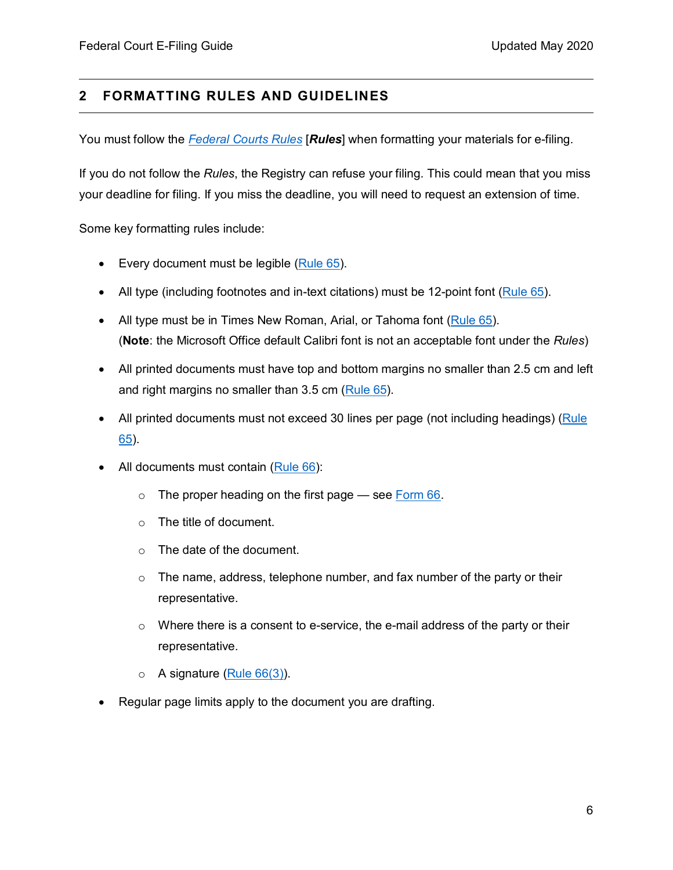### <span id="page-5-0"></span>**2 FORMATTING RULES AND GUIDELINES**

You must follow the *[Federal Courts Rules](https://laws-lois.justice.gc.ca/eng/regulations/sor-98-106/index.html)* [*Rules*] when formatting your materials for e-filing.

If you do not follow the *Rules*, the Registry can refuse your filing. This could mean that you miss your deadline for filing. If you miss the deadline, you will need to request an extension of time.

Some key formatting rules include:

- Every document must be legible  $(Rule 65)$ .
- All type (including footnotes and in-text citations) must be 12-point font [\(Rule 65\)](https://laws-lois.justice.gc.ca/eng/regulations/sor-98-106/page-6.html#h-1013192).
- All type must be in Times New Roman, Arial, or Tahoma font [\(Rule 65\)](https://laws-lois.justice.gc.ca/eng/regulations/sor-98-106/page-6.html#h-1013192). (**Note**: the Microsoft Office default Calibri font is not an acceptable font under the *Rules*)
- All printed documents must have top and bottom margins no smaller than 2.5 cm and left and right margins no smaller than 3.5 cm [\(Rule 65\)](https://laws-lois.justice.gc.ca/eng/regulations/sor-98-106/page-6.html#h-1013192).
- All printed documents must not exceed 30 lines per page (not including headings) (Rule [65\)](https://laws-lois.justice.gc.ca/eng/regulations/sor-98-106/page-6.html#h-1013192).
- All documents must contain [\(Rule 66\)](https://laws-lois.justice.gc.ca/eng/regulations/sor-98-106/page-6.html#s-66):
	- $\circ$  The proper heading on the first page  $\frac{1}{\circ}$  see [Form 66.](https://www.fca-caf.gc.ca/fca-caf/forms/ENG/form_66_e2.pdf)
	- o The title of document.
	- o The date of the document.
	- $\circ$  The name, address, telephone number, and fax number of the party or their representative.
	- $\circ$  Where there is a consent to e-service, the e-mail address of the party or their representative.
	- $\circ$  A signature [\(Rule 66\(3\)\)](https://laws-lois.justice.gc.ca/eng/regulations/sor-98-106/page-6.html#s-66ss-(3)ID0EBBA).
- Regular page limits apply to the document you are drafting.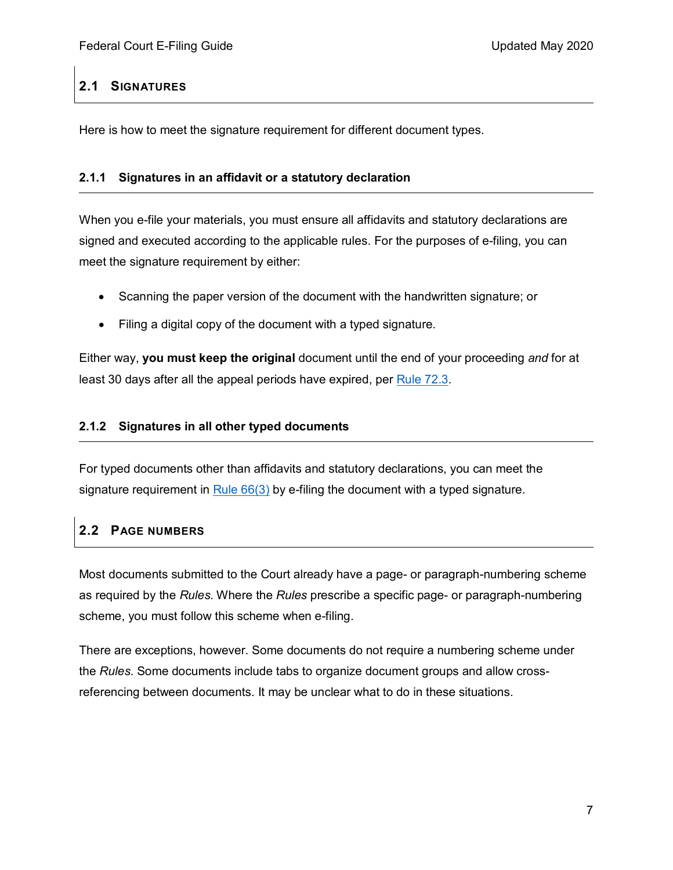### <span id="page-6-0"></span>**2.1 SIGNATURES**

Here is how to meet the signature requirement for different document types.

#### <span id="page-6-1"></span>**2.1.1 Signatures in an affidavit or a statutory declaration**

When you e-file your materials, you must ensure all affidavits and statutory declarations are signed and executed according to the applicable rules. For the purposes of e-filing, you can meet the signature requirement by either:

- Scanning the paper version of the document with the handwritten signature; or
- Filing a digital copy of the document with a typed signature.

Either way, **you must keep the original** document until the end of your proceeding *and* for at least 30 days after all the appeal periods have expired, per [Rule 72.3.](https://laws-lois.justice.gc.ca/eng/regulations/sor-98-106/page-7.html#h-1013255)

### <span id="page-6-2"></span>**2.1.2 Signatures in all other typed documents**

For typed documents other than affidavits and statutory declarations, you can meet the signature requirement in Rule [66\(3\)](https://laws-lois.justice.gc.ca/eng/regulations/sor-98-106/page-6.html#h-1013193) by e-filing the document with a typed signature.

### <span id="page-6-3"></span>**2.2 PAGE NUMBERS**

Most documents submitted to the Court already have a page- or paragraph-numbering scheme as required by the *Rules*. Where the *Rules* prescribe a specific page- or paragraph-numbering scheme, you must follow this scheme when e-filing.

There are exceptions, however. Some documents do not require a numbering scheme under the *Rules*. Some documents include tabs to organize document groups and allow crossreferencing between documents. It may be unclear what to do in these situations.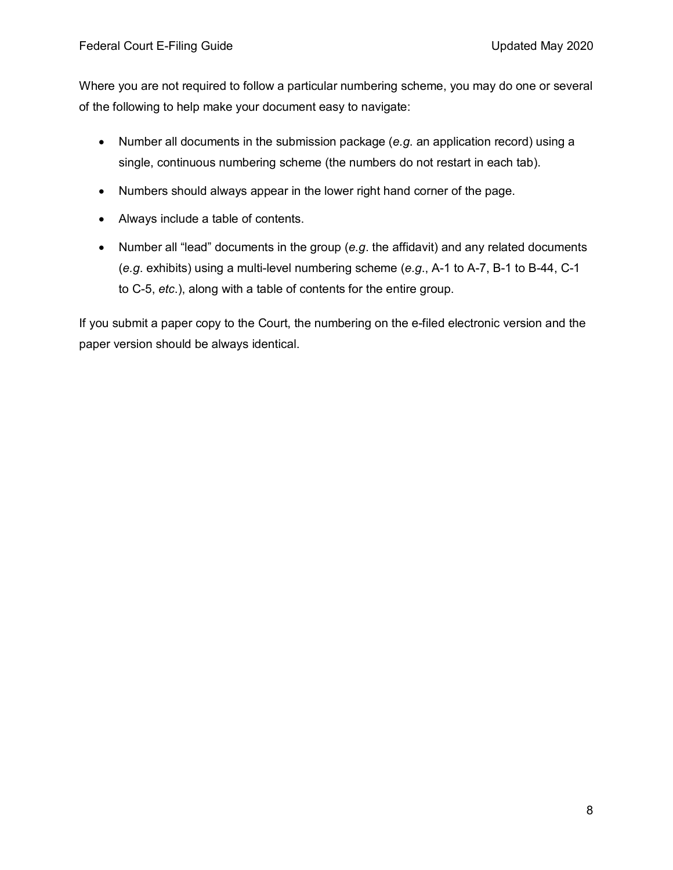Where you are not required to follow a particular numbering scheme, you may do one or several of the following to help make your document easy to navigate:

- Number all documents in the submission package (*e.g*. an application record) using a single, continuous numbering scheme (the numbers do not restart in each tab).
- Numbers should always appear in the lower right hand corner of the page.
- Always include a table of contents.
- Number all "lead" documents in the group (*e.g*. the affidavit) and any related documents (*e.g*. exhibits) using a multi-level numbering scheme (*e.g*., A-1 to A-7, B-1 to B-44, C-1 to C-5, *etc*.), along with a table of contents for the entire group.

If you submit a paper copy to the Court, the numbering on the e-filed electronic version and the paper version should be always identical.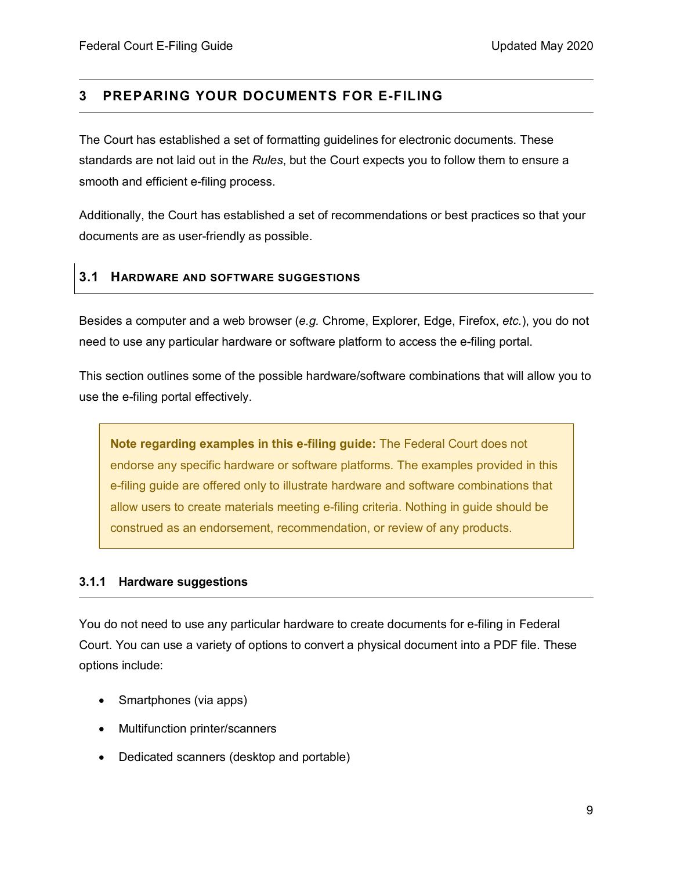### <span id="page-8-0"></span>**3 PREPARING YOUR DOCUMENTS FOR E-FILING**

The Court has established a set of formatting guidelines for electronic documents. These standards are not laid out in the *Rules*, but the Court expects you to follow them to ensure a smooth and efficient e-filing process.

Additionally, the Court has established a set of recommendations or best practices so that your documents are as user-friendly as possible.

#### <span id="page-8-1"></span>**3.1 HARDWARE AND SOFTWARE SUGGESTIONS**

Besides a computer and a web browser (*e.g.* Chrome, Explorer, Edge, Firefox, *etc.*), you do not need to use any particular hardware or software platform to access the e-filing portal.

This section outlines some of the possible hardware/software combinations that will allow you to use the e-filing portal effectively.

**Note regarding examples in this e-filing guide:** The Federal Court does not endorse any specific hardware or software platforms. The examples provided in this e-filing guide are offered only to illustrate hardware and software combinations that allow users to create materials meeting e-filing criteria. Nothing in guide should be construed as an endorsement, recommendation, or review of any products.

#### <span id="page-8-2"></span>**3.1.1 Hardware suggestions**

You do not need to use any particular hardware to create documents for e-filing in Federal Court. You can use a variety of options to convert a physical document into a PDF file. These options include:

- Smartphones (via apps)
- Multifunction printer/scanners
- Dedicated scanners (desktop and portable)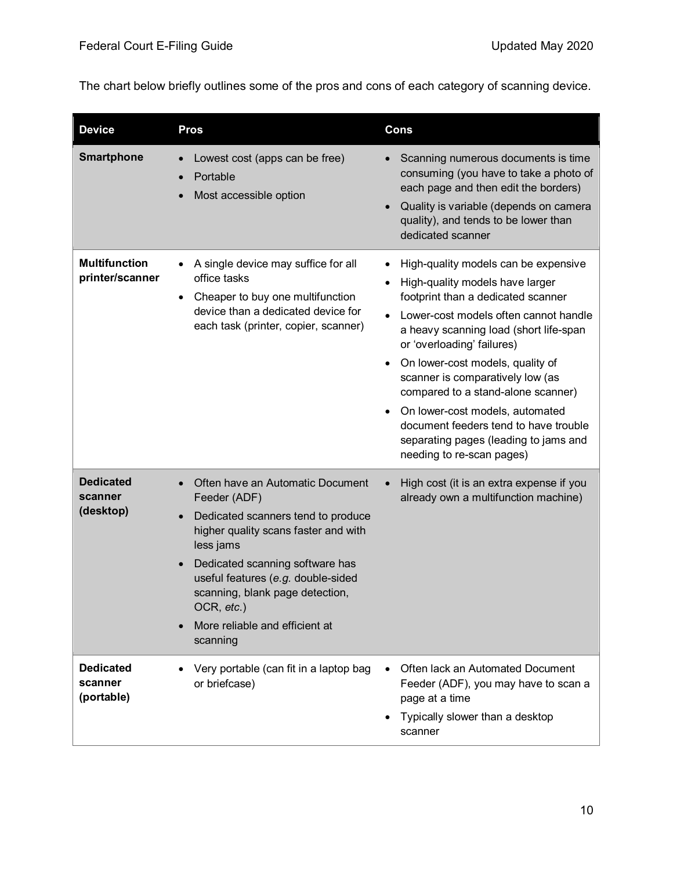The chart below briefly outlines some of the pros and cons of each category of scanning device.

| <b>Device</b>                             | <b>Pros</b>                                                                                                                                                                                                                                                                                                         | <b>Cons</b>                                                                                                                                                                                                                                                                                                                                                                                                                                                                                                                                                     |
|-------------------------------------------|---------------------------------------------------------------------------------------------------------------------------------------------------------------------------------------------------------------------------------------------------------------------------------------------------------------------|-----------------------------------------------------------------------------------------------------------------------------------------------------------------------------------------------------------------------------------------------------------------------------------------------------------------------------------------------------------------------------------------------------------------------------------------------------------------------------------------------------------------------------------------------------------------|
| <b>Smartphone</b>                         | Lowest cost (apps can be free)<br>Portable<br>Most accessible option                                                                                                                                                                                                                                                | Scanning numerous documents is time<br>consuming (you have to take a photo of<br>each page and then edit the borders)<br>Quality is variable (depends on camera<br>$\bullet$<br>quality), and tends to be lower than<br>dedicated scanner                                                                                                                                                                                                                                                                                                                       |
| <b>Multifunction</b><br>printer/scanner   | A single device may suffice for all<br>office tasks<br>Cheaper to buy one multifunction<br>$\bullet$<br>device than a dedicated device for<br>each task (printer, copier, scanner)                                                                                                                                  | High-quality models can be expensive<br>$\bullet$<br>High-quality models have larger<br>$\bullet$<br>footprint than a dedicated scanner<br>Lower-cost models often cannot handle<br>$\bullet$<br>a heavy scanning load (short life-span<br>or 'overloading' failures)<br>On lower-cost models, quality of<br>$\bullet$<br>scanner is comparatively low (as<br>compared to a stand-alone scanner)<br>On lower-cost models, automated<br>$\bullet$<br>document feeders tend to have trouble<br>separating pages (leading to jams and<br>needing to re-scan pages) |
| <b>Dedicated</b><br>scanner<br>(desktop)  | Often have an Automatic Document<br>Feeder (ADF)<br>Dedicated scanners tend to produce<br>higher quality scans faster and with<br>less jams<br>Dedicated scanning software has<br>useful features (e.g. double-sided<br>scanning, blank page detection,<br>OCR, etc.)<br>More reliable and efficient at<br>scanning | High cost (it is an extra expense if you<br>$\bullet$<br>already own a multifunction machine)                                                                                                                                                                                                                                                                                                                                                                                                                                                                   |
| <b>Dedicated</b><br>scanner<br>(portable) | Very portable (can fit in a laptop bag<br>or briefcase)                                                                                                                                                                                                                                                             | Often lack an Automated Document<br>Feeder (ADF), you may have to scan a<br>page at a time<br>Typically slower than a desktop<br>٠<br>scanner                                                                                                                                                                                                                                                                                                                                                                                                                   |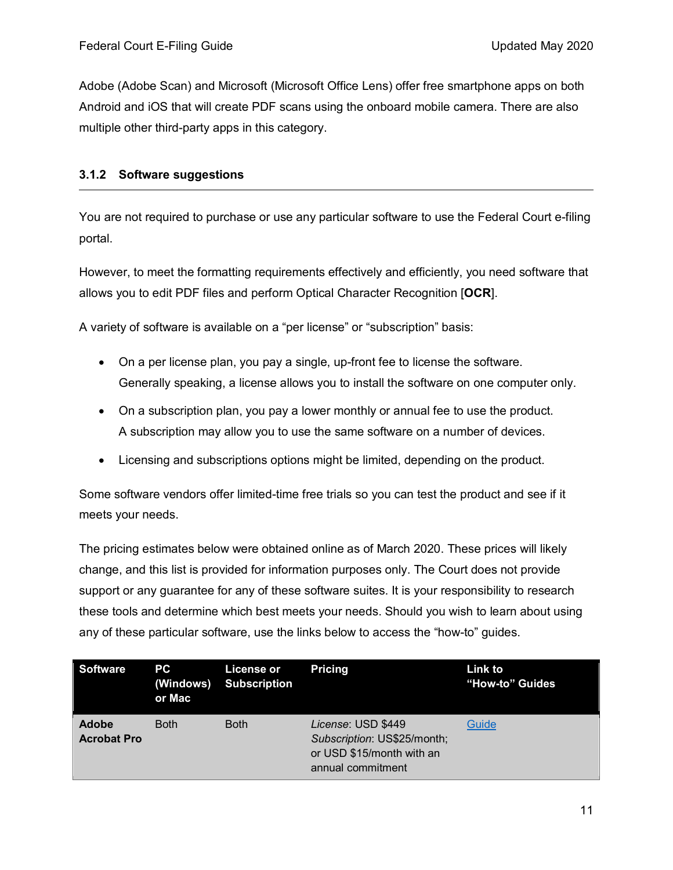Adobe (Adobe Scan) and Microsoft (Microsoft Office Lens) offer free smartphone apps on both Android and iOS that will create PDF scans using the onboard mobile camera. There are also multiple other third-party apps in this category.

#### <span id="page-10-0"></span>**3.1.2 Software suggestions**

You are not required to purchase or use any particular software to use the Federal Court e-filing portal.

However, to meet the formatting requirements effectively and efficiently, you need software that allows you to edit PDF files and perform Optical Character Recognition [**OCR**].

A variety of software is available on a "per license" or "subscription" basis:

- On a per license plan, you pay a single, up-front fee to license the software. Generally speaking, a license allows you to install the software on one computer only.
- On a subscription plan, you pay a lower monthly or annual fee to use the product. A subscription may allow you to use the same software on a number of devices.
- Licensing and subscriptions options might be limited, depending on the product.

Some software vendors offer limited-time free trials so you can test the product and see if it meets your needs.

The pricing estimates below were obtained online as of March 2020. These prices will likely change, and this list is provided for information purposes only. The Court does not provide support or any guarantee for any of these software suites. It is your responsibility to research these tools and determine which best meets your needs. Should you wish to learn about using any of these particular software, use the links below to access the "how-to" guides.

| Software                           | <b>PCT</b><br>or Mac | License or<br>(Windows) Subscription | <b>Pricing</b>                                                                                      | <b>Link to</b><br>"How-to" Guides |
|------------------------------------|----------------------|--------------------------------------|-----------------------------------------------------------------------------------------------------|-----------------------------------|
| <b>Adobe</b><br><b>Acrobat Pro</b> | <b>Both</b>          | <b>Both</b>                          | License: USD \$449<br>Subscription: US\$25/month;<br>or USD \$15/month with an<br>annual commitment | Guide                             |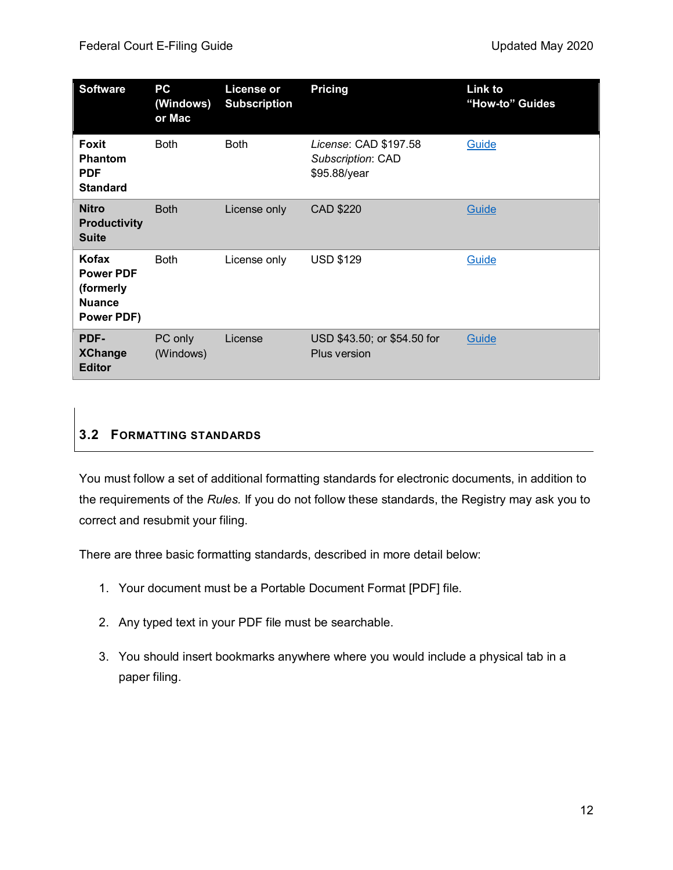| <b>Software</b>                                                       | PC<br>(Windows)<br>or Mac | <b>License or</b><br><b>Subscription</b> | <b>Pricing</b>                                             | Link to<br>"How-to" Guides |
|-----------------------------------------------------------------------|---------------------------|------------------------------------------|------------------------------------------------------------|----------------------------|
| Foxit<br><b>Phantom</b><br><b>PDF</b><br><b>Standard</b>              | <b>Both</b>               | <b>Both</b>                              | License: CAD \$197.58<br>Subscription: CAD<br>\$95.88/year | Guide                      |
| <b>Nitro</b><br><b>Productivity</b><br><b>Suite</b>                   | <b>Both</b>               | License only                             | CAD \$220                                                  | Guide                      |
| Kofax<br><b>Power PDF</b><br>(formerly<br><b>Nuance</b><br>Power PDF) | <b>Both</b>               | License only                             | <b>USD \$129</b>                                           | Guide                      |
| PDF-<br><b>XChange</b><br><b>Editor</b>                               | PC only<br>(Windows)      | License                                  | USD \$43.50; or \$54.50 for<br>Plus version                | Guide                      |

### <span id="page-11-0"></span>**3.2 FORMATTING STANDARDS**

You must follow a set of additional formatting standards for electronic documents, in addition to the requirements of the *Rules.* If you do not follow these standards, the Registry may ask you to correct and resubmit your filing.

There are three basic formatting standards, described in more detail below:

- 1. Your document must be a Portable Document Format [PDF] file.
- 2. Any typed text in your PDF file must be searchable.
- 3. You should insert bookmarks anywhere where you would include a physical tab in a paper filing.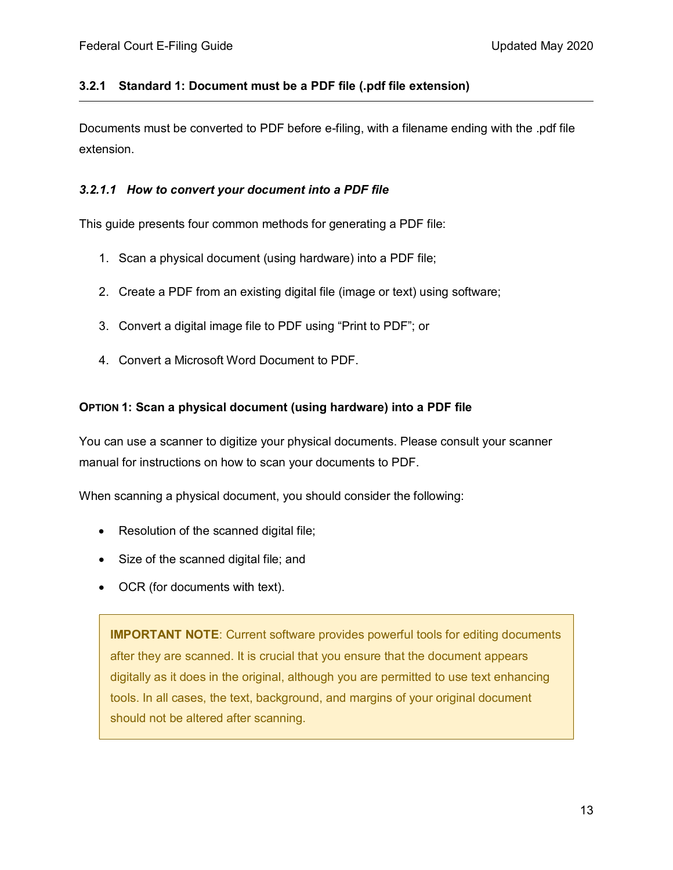#### <span id="page-12-0"></span>**3.2.1 Standard 1: Document must be a PDF file (.pdf file extension)**

Documents must be converted to PDF before e-filing, with a filename ending with the .pdf file extension.

#### <span id="page-12-1"></span>*3.2.1.1 How to convert your document into a PDF file*

This guide presents four common methods for generating a PDF file:

- 1. Scan a physical document (using hardware) into a PDF file;
- 2. Create a PDF from an existing digital file (image or text) using software;
- 3. Convert a digital image file to PDF using "Print to PDF"; or
- 4. Convert a Microsoft Word Document to PDF.

#### **OPTION 1: Scan a physical document (using hardware) into a PDF file**

You can use a scanner to digitize your physical documents. Please consult your scanner manual for instructions on how to scan your documents to PDF.

When scanning a physical document, you should consider the following:

- Resolution of the scanned digital file;
- Size of the scanned digital file; and
- OCR (for documents with text).

**IMPORTANT NOTE**: Current software provides powerful tools for editing documents after they are scanned. It is crucial that you ensure that the document appears digitally as it does in the original, although you are permitted to use text enhancing tools. In all cases, the text, background, and margins of your original document should not be altered after scanning.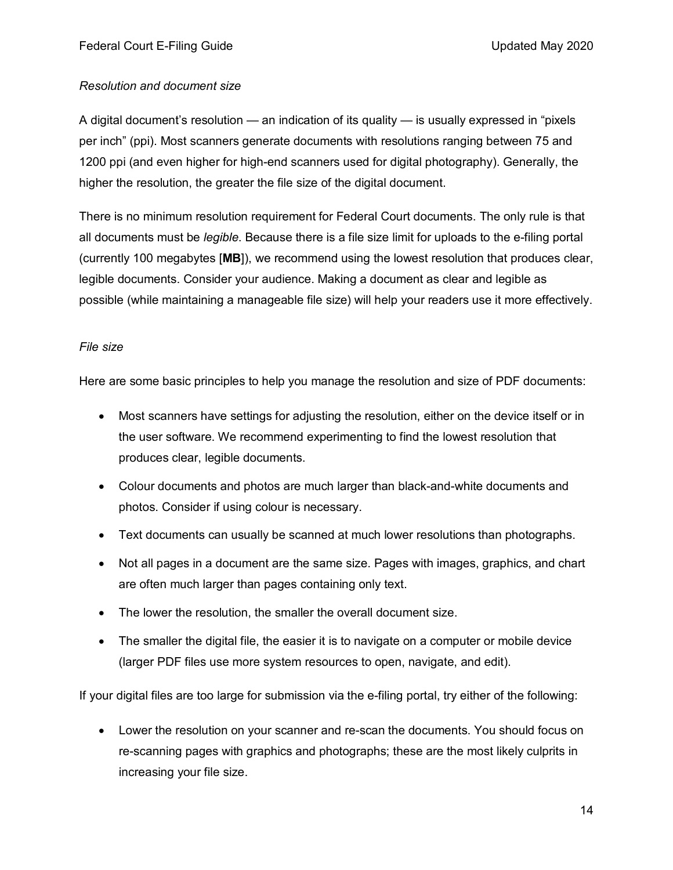#### *Resolution and document size*

A digital document's resolution — an indication of its quality — is usually expressed in "pixels per inch" (ppi). Most scanners generate documents with resolutions ranging between 75 and 1200 ppi (and even higher for high-end scanners used for digital photography). Generally, the higher the resolution, the greater the file size of the digital document.

There is no minimum resolution requirement for Federal Court documents. The only rule is that all documents must be *legible*. Because there is a file size limit for uploads to the e-filing portal (currently 100 megabytes [**MB**]), we recommend using the lowest resolution that produces clear, legible documents. Consider your audience. Making a document as clear and legible as possible (while maintaining a manageable file size) will help your readers use it more effectively.

#### <span id="page-13-0"></span>*File size*

Here are some basic principles to help you manage the resolution and size of PDF documents:

- Most scanners have settings for adjusting the resolution, either on the device itself or in the user software. We recommend experimenting to find the lowest resolution that produces clear, legible documents.
- Colour documents and photos are much larger than black-and-white documents and photos. Consider if using colour is necessary.
- Text documents can usually be scanned at much lower resolutions than photographs.
- Not all pages in a document are the same size. Pages with images, graphics, and chart are often much larger than pages containing only text.
- The lower the resolution, the smaller the overall document size.
- The smaller the digital file, the easier it is to navigate on a computer or mobile device (larger PDF files use more system resources to open, navigate, and edit).

If your digital files are too large for submission via the e-filing portal, try either of the following:

• Lower the resolution on your scanner and re-scan the documents. You should focus on re-scanning pages with graphics and photographs; these are the most likely culprits in increasing your file size.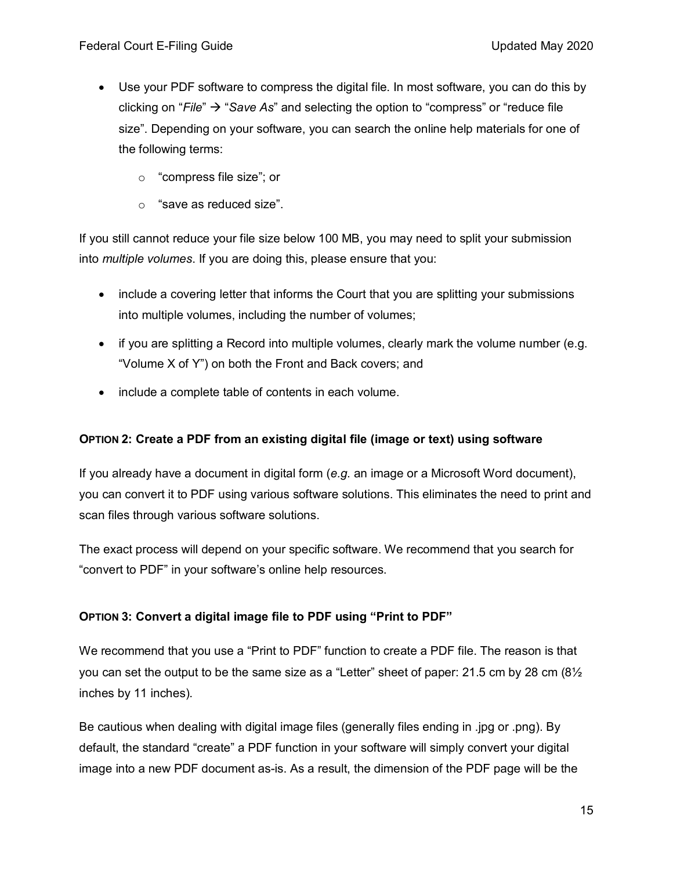- Use your PDF software to compress the digital file. In most software, you can do this by clicking on "*File*" → "*Save As*" and selecting the option to "compress" or "reduce file size". Depending on your software, you can search the online help materials for one of the following terms:
	- o "compress file size"; or
	- o "save as reduced size".

If you still cannot reduce your file size below 100 MB, you may need to split your submission into *multiple volumes*. If you are doing this, please ensure that you:

- include a covering letter that informs the Court that you are splitting your submissions into multiple volumes, including the number of volumes;
- if you are splitting a Record into multiple volumes, clearly mark the volume number (e.g. "Volume X of Y") on both the Front and Back covers; and
- include a complete table of contents in each volume.

### **OPTION 2: Create a PDF from an existing digital file (image or text) using software**

If you already have a document in digital form (*e.g*. an image or a Microsoft Word document), you can convert it to PDF using various software solutions. This eliminates the need to print and scan files through various software solutions.

The exact process will depend on your specific software. We recommend that you search for "convert to PDF" in your software's online help resources.

### <span id="page-14-0"></span>**OPTION 3: Convert a digital image file to PDF using "Print to PDF"**

We recommend that you use a "Print to PDF" function to create a PDF file. The reason is that you can set the output to be the same size as a "Letter" sheet of paper: 21.5 cm by 28 cm  $(8\frac{1}{2})$ inches by 11 inches).

Be cautious when dealing with digital image files (generally files ending in .jpg or .png). By default, the standard "create" a PDF function in your software will simply convert your digital image into a new PDF document as-is. As a result, the dimension of the PDF page will be the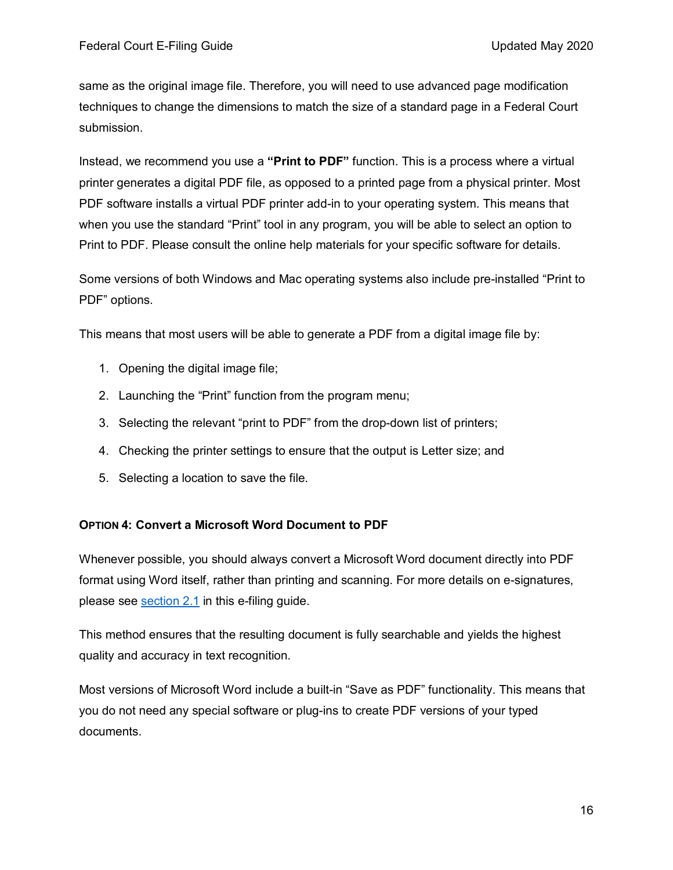same as the original image file. Therefore, you will need to use advanced page modification techniques to change the dimensions to match the size of a standard page in a Federal Court submission.

Instead, we recommend you use a **"Print to PDF"** function. This is a process where a virtual printer generates a digital PDF file, as opposed to a printed page from a physical printer. Most PDF software installs a virtual PDF printer add-in to your operating system. This means that when you use the standard "Print" tool in any program, you will be able to select an option to Print to PDF. Please consult the online help materials for your specific software for details.

Some versions of both Windows and Mac operating systems also include pre-installed "Print to PDF" options.

This means that most users will be able to generate a PDF from a digital image file by:

- 1. Opening the digital image file;
- 2. Launching the "Print" function from the program menu;
- 3. Selecting the relevant "print to PDF" from the drop-down list of printers;
- 4. Checking the printer settings to ensure that the output is Letter size; and
- 5. Selecting a location to save the file.

#### <span id="page-15-0"></span>**OPTION 4: Convert a Microsoft Word Document to PDF**

Whenever possible, you should always convert a Microsoft Word document directly into PDF format using Word itself, rather than printing and scanning. For more details on e-signatures, please see [section 2.1](#page-6-0) in this e-filing guide.

This method ensures that the resulting document is fully searchable and yields the highest quality and accuracy in text recognition.

Most versions of Microsoft Word include a built-in "Save as PDF" functionality. This means that you do not need any special software or plug-ins to create PDF versions of your typed documents.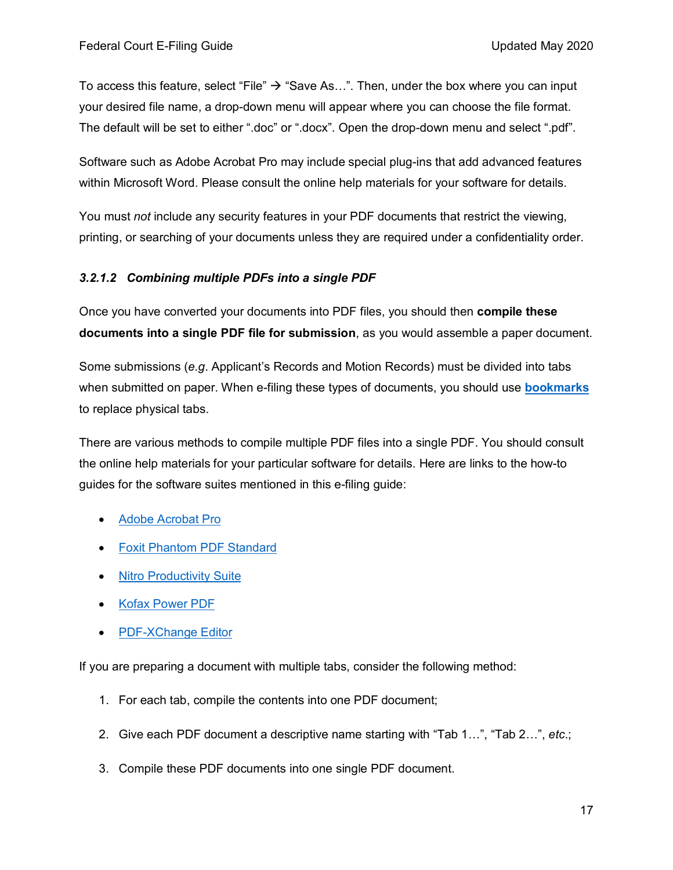To access this feature, select "File"  $\rightarrow$  "Save As...". Then, under the box where you can input your desired file name, a drop-down menu will appear where you can choose the file format. The default will be set to either ".doc" or ".docx". Open the drop-down menu and select ".pdf".

Software such as Adobe Acrobat Pro may include special plug-ins that add advanced features within Microsoft Word. Please consult the online help materials for your software for details.

You must *not* include any security features in your PDF documents that restrict the viewing, printing, or searching of your documents unless they are required under a confidentiality order.

### *3.2.1.2 Combining multiple PDFs into a single PDF*

Once you have converted your documents into PDF files, you should then **compile these documents into a single PDF file for submission**, as you would assemble a paper document.

Some submissions (*e.g*. Applicant's Records and Motion Records) must be divided into tabs when submitted on paper. When e-filing these types of documents, you should use **[bookmarks](#page-21-1)** to replace physical tabs.

There are various methods to compile multiple PDF files into a single PDF. You should consult the online help materials for your particular software for details. Here are links to the how-to guides for the software suites mentioned in this e-filing guide:

- [Adobe Acrobat Pro](https://helpx.adobe.com/ca/acrobat/how-to/combine-files-into-pdf.html)
- [Foxit Phantom PDF Standard](https://www.foxitsoftware.com/pdf-editor/merge-split-pdf/)
- [Nitro Productivity Suite](https://www.gonitro.com/user-guide/pro/article/combine-merge-files-to-pdf)
- [Kofax Power PDF](https://www.kofax.com/Products/power-pdf/power-pdf-how-to/batch-combine-pdf-files)
- [PDF-XChange Editor](https://www.tracker-software.com/knowledgebase/416-How-do-I-Combine-multiple-documents-into-a-single-PDF-using-the-PDF-XChange-Editor)

If you are preparing a document with multiple tabs, consider the following method:

- 1. For each tab, compile the contents into one PDF document;
- 2. Give each PDF document a descriptive name starting with "Tab 1…", "Tab 2…", *etc*.;
- 3. Compile these PDF documents into one single PDF document.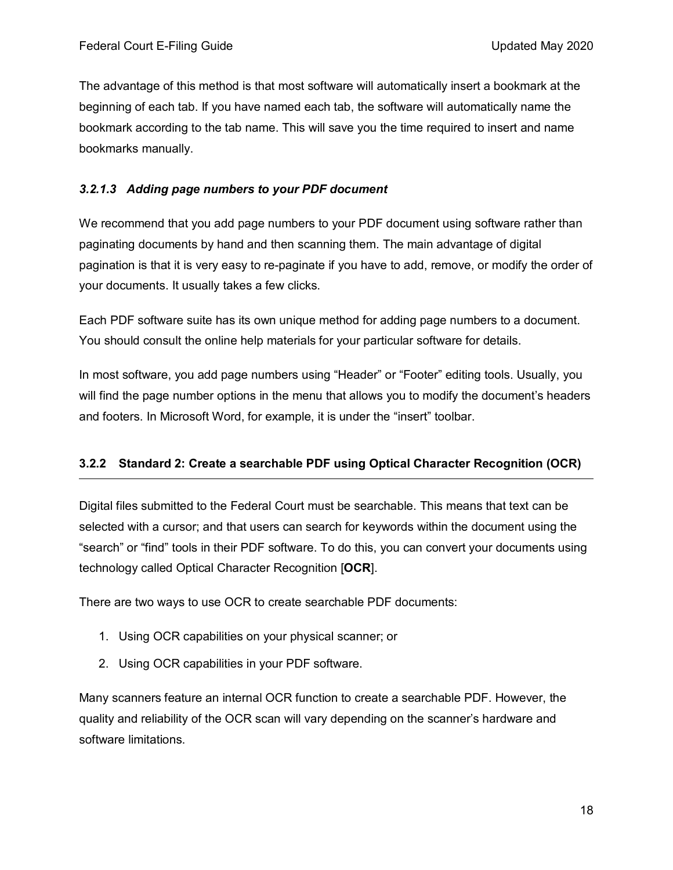The advantage of this method is that most software will automatically insert a bookmark at the beginning of each tab. If you have named each tab, the software will automatically name the bookmark according to the tab name. This will save you the time required to insert and name bookmarks manually.

### *3.2.1.3 Adding page numbers to your PDF document*

We recommend that you add page numbers to your PDF document using software rather than paginating documents by hand and then scanning them. The main advantage of digital pagination is that it is very easy to re-paginate if you have to add, remove, or modify the order of your documents. It usually takes a few clicks.

Each PDF software suite has its own unique method for adding page numbers to a document. You should consult the online help materials for your particular software for details.

In most software, you add page numbers using "Header" or "Footer" editing tools. Usually, you will find the page number options in the menu that allows you to modify the document's headers and footers. In Microsoft Word, for example, it is under the "insert" toolbar.

### <span id="page-17-0"></span>**3.2.2 Standard 2: Create a searchable PDF using Optical Character Recognition (OCR)**

Digital files submitted to the Federal Court must be searchable. This means that text can be selected with a cursor; and that users can search for keywords within the document using the "search" or "find" tools in their PDF software. To do this, you can convert your documents using technology called Optical Character Recognition [**OCR**].

There are two ways to use OCR to create searchable PDF documents:

- 1. Using OCR capabilities on your physical scanner; or
- 2. Using OCR capabilities in your PDF software.

Many scanners feature an internal OCR function to create a searchable PDF. However, the quality and reliability of the OCR scan will vary depending on the scanner's hardware and software limitations.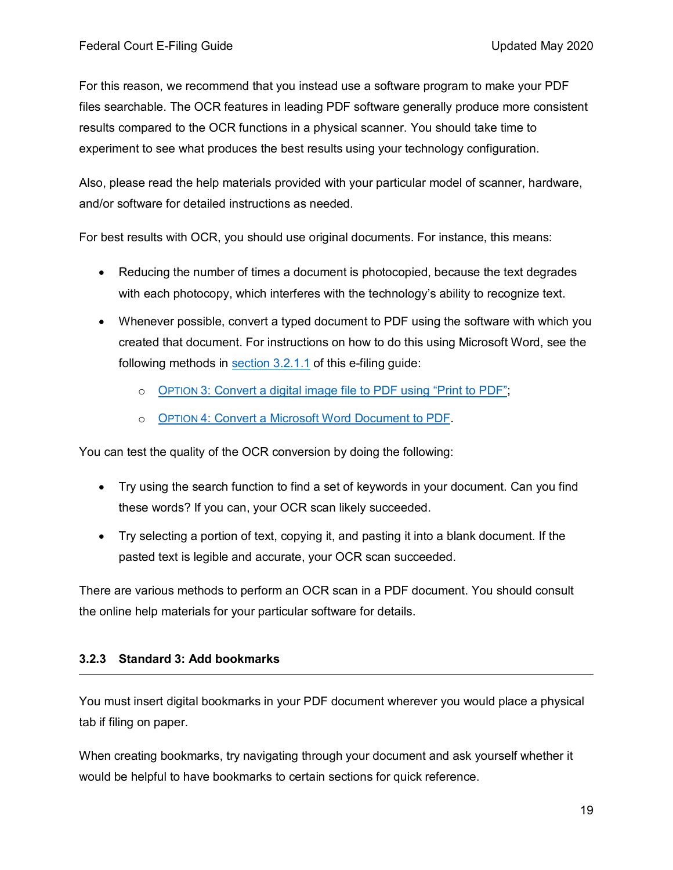For this reason, we recommend that you instead use a software program to make your PDF files searchable. The OCR features in leading PDF software generally produce more consistent results compared to the OCR functions in a physical scanner. You should take time to experiment to see what produces the best results using your technology configuration.

Also, please read the help materials provided with your particular model of scanner, hardware, and/or software for detailed instructions as needed.

For best results with OCR, you should use original documents. For instance, this means:

- Reducing the number of times a document is photocopied, because the text degrades with each photocopy, which interferes with the technology's ability to recognize text.
- Whenever possible, convert a typed document to PDF using the software with which you created that document. For instructions on how to do this using Microsoft Word, see the following methods in [section 3.2.1.1](#page-12-1) of this e-filing guide:
	- o OPTION 3: [Convert a digital image file to PDF using "Print to PDF";](#page-14-0)
	- o OPTION 4: [Convert a Microsoft Word Document to PDF.](#page-15-0)

You can test the quality of the OCR conversion by doing the following:

- Try using the search function to find a set of keywords in your document. Can you find these words? If you can, your OCR scan likely succeeded.
- Try selecting a portion of text, copying it, and pasting it into a blank document. If the pasted text is legible and accurate, your OCR scan succeeded.

There are various methods to perform an OCR scan in a PDF document. You should consult the online help materials for your particular software for details.

### <span id="page-18-0"></span>**3.2.3 Standard 3: Add bookmarks**

You must insert digital bookmarks in your PDF document wherever you would place a physical tab if filing on paper.

When creating bookmarks, try navigating through your document and ask yourself whether it would be helpful to have bookmarks to certain sections for quick reference.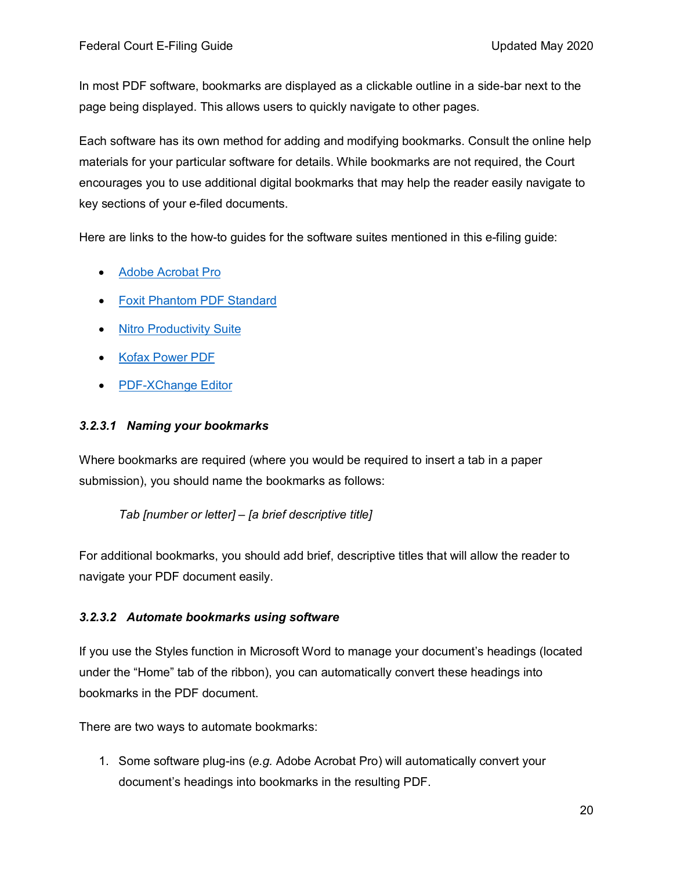In most PDF software, bookmarks are displayed as a clickable outline in a side-bar next to the page being displayed. This allows users to quickly navigate to other pages.

Each software has its own method for adding and modifying bookmarks. Consult the online help materials for your particular software for details. While bookmarks are not required, the Court encourages you to use additional digital bookmarks that may help the reader easily navigate to key sections of your e-filed documents.

Here are links to the how-to guides for the software suites mentioned in this e-filing guide:

- [Adobe Acrobat Pro](https://helpx.adobe.com/acrobat/using/page-thumbnails-bookmarks-pdfs.html)
- [Foxit Phantom PDF Standard](https://www.foxitsoftware.com/blog/add-bookmarks-to-make-your-pdf-easier-to-navigate/)
- [Nitro Productivity Suite](https://www.gonitro.com/user-guide/pro/article/view-bookmarks-in-a-pdf-file)
- [Kofax Power PDF](https://www.kofax.com/Products/power-pdf/power-pdf-how-to/create-tables-and-bookmarks-in-pdf)
- [PDF-XChange Editor](https://www.tracker-software.com/knowledgebase/485-How-do-I-Create-a-table-of-contents-with-the-Editor)

#### *3.2.3.1 Naming your bookmarks*

Where bookmarks are required (where you would be required to insert a tab in a paper submission), you should name the bookmarks as follows:

*Tab [number or letter] – [a brief descriptive title]*

For additional bookmarks, you should add brief, descriptive titles that will allow the reader to navigate your PDF document easily.

#### <span id="page-19-0"></span>*3.2.3.2 Automate bookmarks using software*

If you use the Styles function in Microsoft Word to manage your document's headings (located under the "Home" tab of the ribbon), you can automatically convert these headings into bookmarks in the PDF document.

There are two ways to automate bookmarks:

1. Some software plug-ins (*e.g.* Adobe Acrobat Pro) will automatically convert your document's headings into bookmarks in the resulting PDF.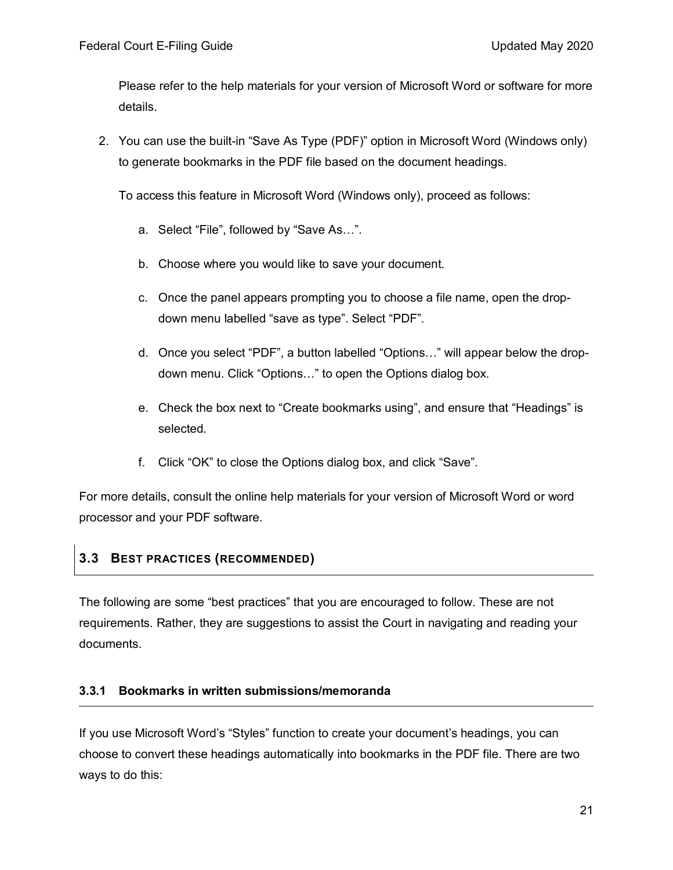Please refer to the help materials for your version of Microsoft Word or software for more details.

2. You can use the built-in "Save As Type (PDF)" option in Microsoft Word (Windows only) to generate bookmarks in the PDF file based on the document headings.

To access this feature in Microsoft Word (Windows only), proceed as follows:

- a. Select "File", followed by "Save As…".
- b. Choose where you would like to save your document.
- c. Once the panel appears prompting you to choose a file name, open the dropdown menu labelled "save as type". Select "PDF".
- d. Once you select "PDF", a button labelled "Options…" will appear below the dropdown menu. Click "Options…" to open the Options dialog box.
- e. Check the box next to "Create bookmarks using", and ensure that "Headings" is selected.
- f. Click "OK" to close the Options dialog box, and click "Save".

For more details, consult the online help materials for your version of Microsoft Word or word processor and your PDF software.

### <span id="page-20-0"></span>**3.3 BEST PRACTICES (RECOMMENDED)**

The following are some "best practices" that you are encouraged to follow. These are not requirements. Rather, they are suggestions to assist the Court in navigating and reading your documents.

### <span id="page-20-1"></span>**3.3.1 Bookmarks in written submissions/memoranda**

If you use Microsoft Word's "Styles" function to create your document's headings, you can choose to convert these headings automatically into bookmarks in the PDF file. There are two ways to do this: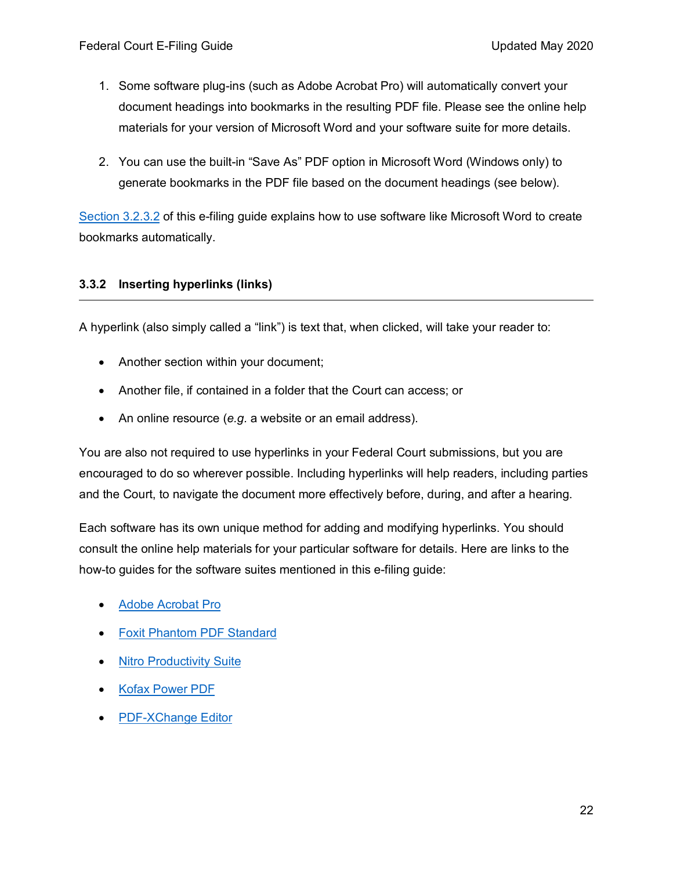- 1. Some software plug-ins (such as Adobe Acrobat Pro) will automatically convert your document headings into bookmarks in the resulting PDF file. Please see the online help materials for your version of Microsoft Word and your software suite for more details.
- 2. You can use the built-in "Save As" PDF option in Microsoft Word (Windows only) to generate bookmarks in the PDF file based on the document headings (see below).

[Section 3.2.3.2](#page-19-0) of this e-filing guide explains how to use software like Microsoft Word to create bookmarks automatically.

### <span id="page-21-0"></span>**3.3.2 Inserting hyperlinks (links)**

<span id="page-21-1"></span>A hyperlink (also simply called a "link") is text that, when clicked, will take your reader to:

- Another section within your document;
- Another file, if contained in a folder that the Court can access; or
- An online resource (*e.g.* a website or an email address).

You are also not required to use hyperlinks in your Federal Court submissions, but you are encouraged to do so wherever possible. Including hyperlinks will help readers, including parties and the Court, to navigate the document more effectively before, during, and after a hearing.

Each software has its own unique method for adding and modifying hyperlinks. You should consult the online help materials for your particular software for details. Here are links to the how-to guides for the software suites mentioned in this e-filing guide:

- [Adobe Acrobat Pro](https://helpx.adobe.com/acrobat/using/links-attachments-pdfs.html)
- [Foxit Phantom PDF Standard](https://www.foxitsoftware.com/blog/linking-to-pages-or-destinations-within-pdfs/)
- [Nitro Productivity Suite](https://www.gonitro.com/user-guide/pro/article/add-a-link-to-a-pdf-file)
- [Kofax Power PDF](https://www.nuance.com/products/help/NuancePDF/en_US/Link.htm)
- [PDF-XChange Editor](https://www.tracker-software.com/knowledgebase/169-How-do-I-add-links-to-documents)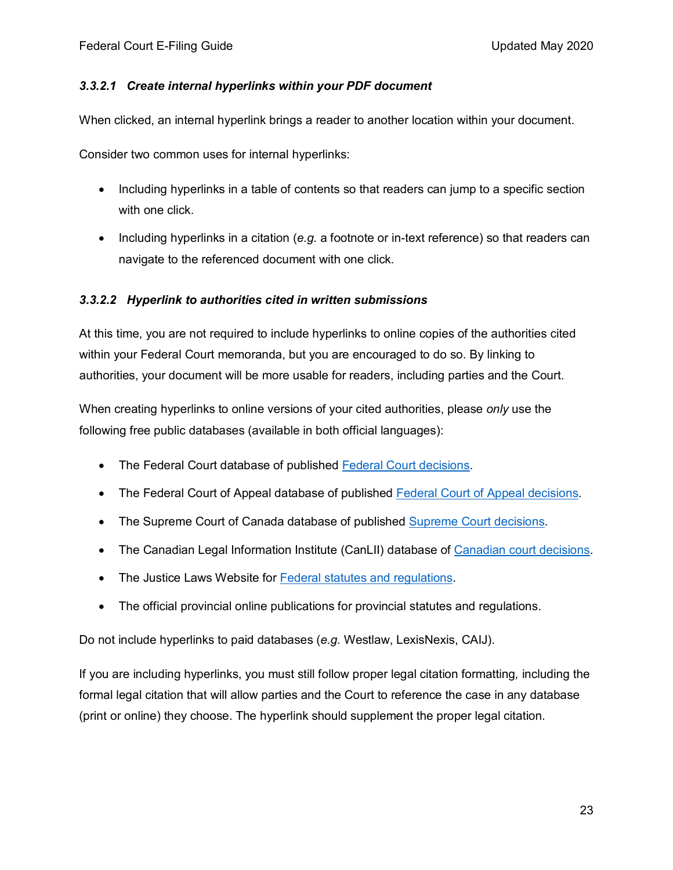### *3.3.2.1 Create internal hyperlinks within your PDF document*

When clicked, an internal hyperlink brings a reader to another location within your document.

Consider two common uses for internal hyperlinks:

- Including hyperlinks in a table of contents so that readers can jump to a specific section with one click.
- Including hyperlinks in a citation (*e.g.* a footnote or in-text reference) so that readers can navigate to the referenced document with one click.

### *3.3.2.2 Hyperlink to authorities cited in written submissions*

At this time, you are not required to include hyperlinks to online copies of the authorities cited within your Federal Court memoranda, but you are encouraged to do so. By linking to authorities, your document will be more usable for readers, including parties and the Court.

When creating hyperlinks to online versions of your cited authorities, please *only* use the following free public databases (available in both official languages):

- The Federal Court database of published [Federal Court decisions.](https://decisions.fct-cf.gc.ca/fc-cf/en/d/s/index.do)
- The [Federal Court of Appeal](https://decisions.fca-caf.gc.ca/fca-caf/en/d/s/index.do) database of published Federal Court of Appeal decisions.
- The Supreme Court of Canada database of published [Supreme Court decisions.](https://scc-csc.lexum.com/scc-csc/en/nav.do)
- The Canadian Legal Information Institute (CanLII) database of [Canadian court decisions.](https://www.canlii.org/en/)
- The Justice Laws Website for [Federal statutes and regulations.](https://laws.justice.gc.ca/eng/)
- <span id="page-22-0"></span>• The official provincial online publications for provincial statutes and regulations.

Do not include hyperlinks to paid databases (*e.g.* Westlaw, LexisNexis, CAIJ).

If you are including hyperlinks, you must still follow proper legal citation formatting*,* including the formal legal citation that will allow parties and the Court to reference the case in any database (print or online) they choose. The hyperlink should supplement the proper legal citation.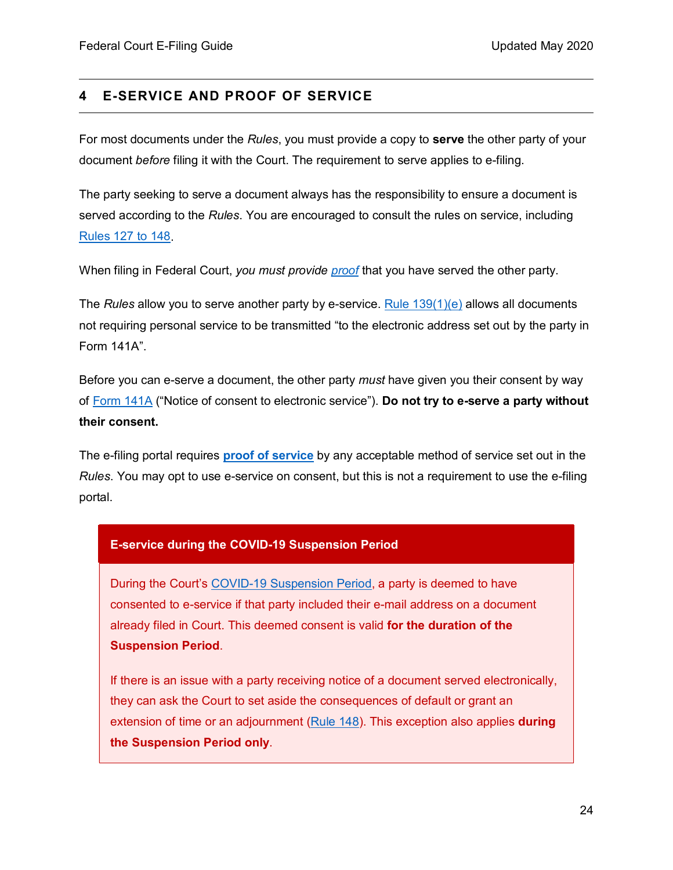### <span id="page-23-0"></span>**4 E-SERVICE AND PROOF OF SERVICE**

For most documents under the *Rules*, you must provide a copy to **serve** the other party of your document *before* filing it with the Court. The requirement to serve applies to e-filing.

The party seeking to serve a document always has the responsibility to ensure a document is served according to the *Rules*. You are encouraged to consult the rules on service, including [Rules 127 to 148.](https://laws-lois.justice.gc.ca/eng/regulations/sor-98-106/page-11.html#h-1013648)

When filing in Federal Court, *you must provide [proof](#page-27-2)* that you have served the other party.

The *Rules* allow you to serve another party by e-service. [Rule 139\(1\)\(e\)](https://laws-lois.justice.gc.ca/eng/regulations/sor-98-106/page-12.html#h-1013734) allows all documents not requiring personal service to be transmitted "to the electronic address set out by the party in Form 141A".

Before you can e-serve a document, the other party *must* have given you their consent by way of [Form 141A](https://www.fct-cf.gc.ca/content/assets/forms/base/en/form_141A_E.pdf) ("Notice of consent to electronic service"). **Do not try to e-serve a party without their consent.**

The e-filing portal requires **[proof of service](#page-27-0)** by any acceptable method of service set out in the *Rules*. You may opt to use e-service on consent, but this is not a requirement to use the e-filing portal.

### **E-service during the COVID-19 Suspension Period**

During the Court's [COVID-19 Suspension Period,](https://www.fct-cf.gc.ca/Content/assets/pdf/base/Covid-19-Updated-Practice-Direction-Order-2-April-29-2020-FINAL-E.pdf) a party is deemed to have consented to e-service if that party included their e-mail address on a document already filed in Court. This deemed consent is valid **for the duration of the Suspension Period**.

If there is an issue with a party receiving notice of a document served electronically, they can ask the Court to set aside the consequences of default or grant an extension of time or an adjournment [\(Rule](https://laws-lois.justice.gc.ca/eng/regulations/sor-98-106/page-12.html#h-1013786) 148). This exception also applies **during the Suspension Period only**.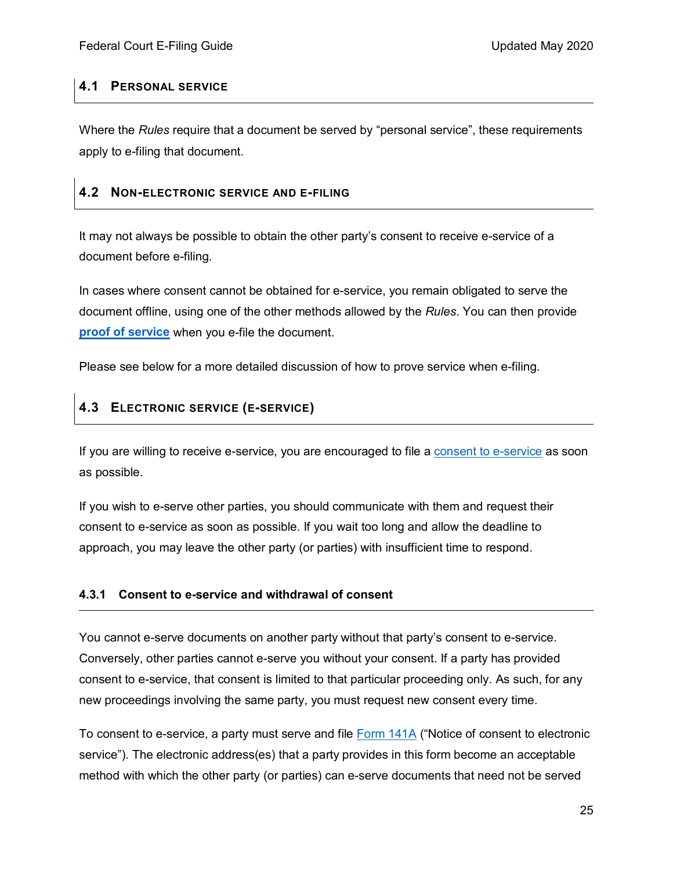### <span id="page-24-0"></span>**4.1 PERSONAL SERVICE**

Where the *Rules* require that a document be served by "personal service", these requirements apply to e-filing that document.

### <span id="page-24-1"></span>**4.2 NON-ELECTRONIC SERVICE AND E-FILING**

It may not always be possible to obtain the other party's consent to receive e-service of a document before e-filing.

In cases where consent cannot be obtained for e-service, you remain obligated to serve the document offline, using one of the other methods allowed by the *Rules*. You can then provide **[proof of service](#page-27-2)** when you e-file the document.

Please see below for a more detailed discussion of how to prove service when e-filing.

### <span id="page-24-2"></span>**4.3 ELECTRONIC SERVICE (E-SERVICE)**

If you are willing to receive e-service, you are encouraged to file a [consent to e-service](#page-24-3) as soon as possible.

If you wish to e-serve other parties, you should communicate with them and request their consent to e-service as soon as possible. If you wait too long and allow the deadline to approach, you may leave the other party (or parties) with insufficient time to respond.

### <span id="page-24-3"></span>**4.3.1 Consent to e-service and withdrawal of consent**

You cannot e-serve documents on another party without that party's consent to e-service. Conversely, other parties cannot e-serve you without your consent. If a party has provided consent to e-service, that consent is limited to that particular proceeding only. As such, for any new proceedings involving the same party, you must request new consent every time.

To consent to e-service, a party must serve and file [Form 141A](https://www.fct-cf.gc.ca/content/assets/forms/base/en/form_141A_E.pdf) ("Notice of consent to electronic service"). The electronic address(es) that a party provides in this form become an acceptable method with which the other party (or parties) can e-serve documents that need not be served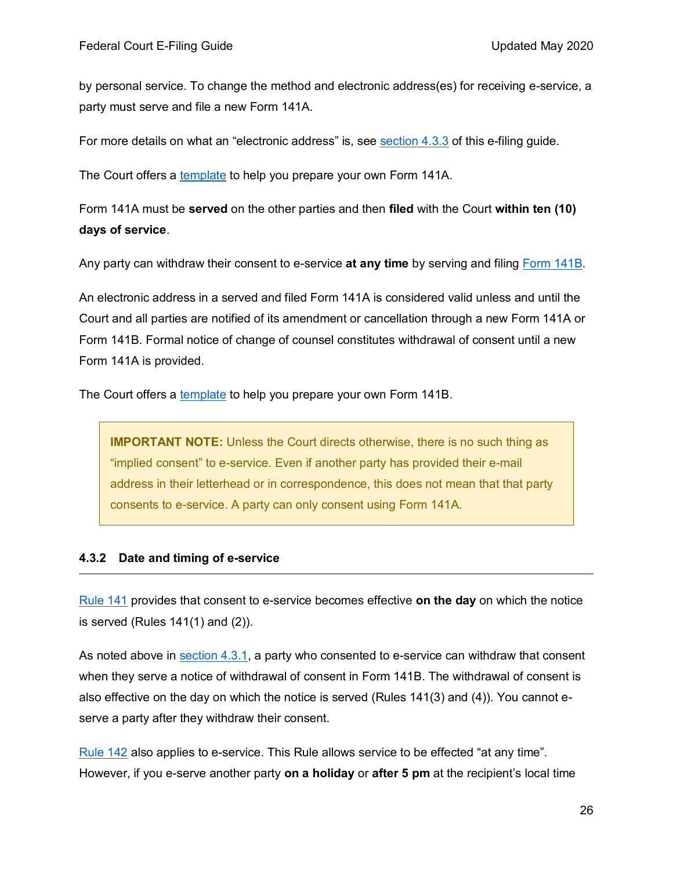by personal service. To change the method and electronic address(es) for receiving e-service, a party must serve and file a new Form 141A.

For more details on what an "electronic address" is, see [section 4.3.3](#page-26-0) of this e-filing guide.

The Court offers a [template](https://www.fct-cf.gc.ca/content/assets/forms/base/form_141A_E.rtf) to help you prepare your own Form 141A.

Form 141A must be **served** on the other parties and then **filed** with the Court **within ten (10) days of service**.

Any party can withdraw their consent to e-service **at any time** by serving and filing [Form 141B.](https://laws-lois.justice.gc.ca/eng/regulations/SOR-98-106/page-65.html)

An electronic address in a served and filed Form 141A is considered valid unless and until the Court and all parties are notified of its amendment or cancellation through a new Form 141A or Form 141B. Formal notice of change of counsel constitutes withdrawal of consent until a new Form 141A is provided.

The Court offers a [template](https://www.fct-cf.gc.ca/content/assets/forms/base/form_141B_E.rtf) to help you prepare your own Form 141B.

**IMPORTANT NOTE:** Unless the Court directs otherwise, there is no such thing as "implied consent" to e-service. Even if another party has provided their e-mail address in their letterhead or in correspondence, this does not mean that that party consents to e-service. A party can only consent using Form 141A.

#### <span id="page-25-0"></span>**4.3.2 Date and timing of e-service**

[Rule 141](https://laws-lois.justice.gc.ca/eng/regulations/sor-98-106/page-12.html#s-141) provides that consent to e-service becomes effective **on the day** on which the notice is served (Rules 141(1) and (2)).

As noted above in [section 4.3.1,](#page-24-3) a party who consented to e-service can withdraw that consent when they serve a notice of withdrawal of consent in Form 141B. The withdrawal of consent is also effective on the day on which the notice is served (Rules 141(3) and (4)). You cannot eserve a party after they withdraw their consent.

[Rule 142](https://laws-lois.justice.gc.ca/eng/regulations/sor-98-106/page-12.html#h-1013786) also applies to e-service. This Rule allows service to be effected "at any time". However, if you e-serve another party **on a holiday** or **after 5 pm** at the recipient's local time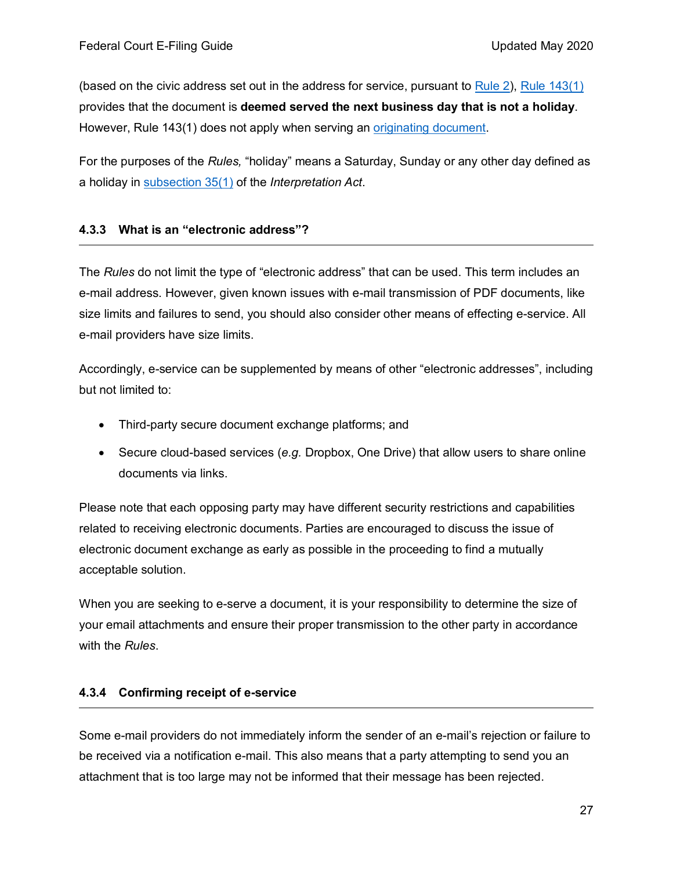(based on the civic address set out in the address for service, pursuant to [Rule 2\)](https://laws-lois.justice.gc.ca/eng/regulations/sor-98-106/page-1.html#h-1012672), Rule  $143(1)$ provides that the document is **deemed served the next business day that is not a holiday**. However, Rule 143(1) does not apply when serving an [originating document.](https://laws-lois.justice.gc.ca/eng/regulations/sor-98-106/page-6.html#h-1013174)

For the purposes of the *Rules,* "holiday" means a Saturday, Sunday or any other day defined as a holiday in [subsection 35\(1\)](https://laws-lois.justice.gc.ca/eng/acts/I-21/page-4.html#s-35) of the *Interpretation Act*.

#### <span id="page-26-0"></span>**4.3.3 What is an "electronic address"?**

The *Rules* do not limit the type of "electronic address" that can be used. This term includes an e-mail address. However, given known issues with e-mail transmission of PDF documents, like size limits and failures to send, you should also consider other means of effecting e-service. All e-mail providers have size limits.

Accordingly, e-service can be supplemented by means of other "electronic addresses", including but not limited to:

- Third-party secure document exchange platforms; and
- Secure cloud-based services (*e.g.* Dropbox, One Drive) that allow users to share online documents via links.

Please note that each opposing party may have different security restrictions and capabilities related to receiving electronic documents. Parties are encouraged to discuss the issue of electronic document exchange as early as possible in the proceeding to find a mutually acceptable solution.

When you are seeking to e-serve a document, it is your responsibility to determine the size of your email attachments and ensure their proper transmission to the other party in accordance with the *Rules*.

### <span id="page-26-1"></span>**4.3.4 Confirming receipt of e-service**

Some e-mail providers do not immediately inform the sender of an e-mail's rejection or failure to be received via a notification e-mail. This also means that a party attempting to send you an attachment that is too large may not be informed that their message has been rejected.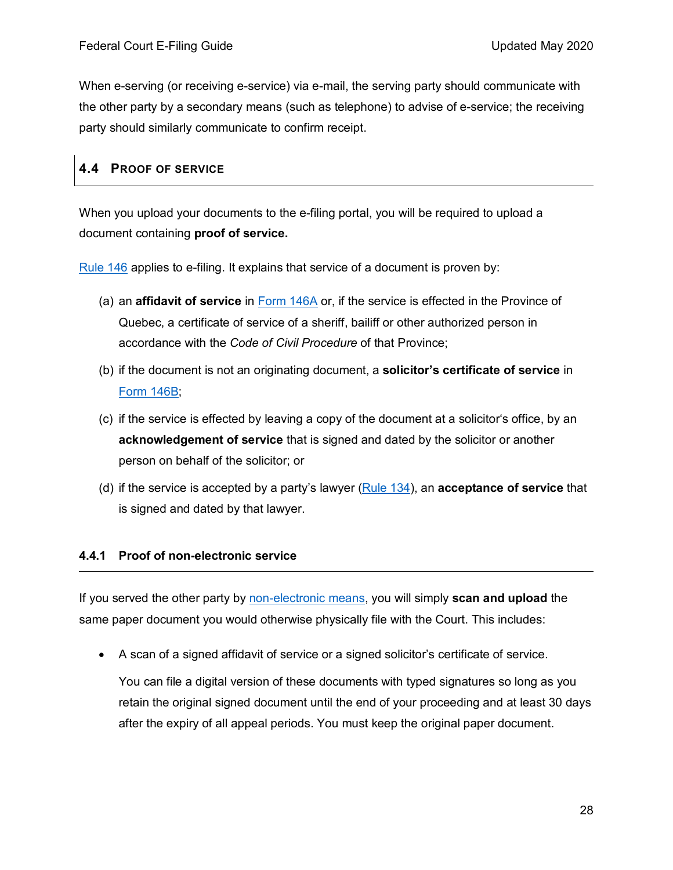<span id="page-27-2"></span>When e-serving (or receiving e-service) via e-mail, the serving party should communicate with the other party by a secondary means (such as telephone) to advise of e-service; the receiving party should similarly communicate to confirm receipt.

### <span id="page-27-0"></span>**4.4 PROOF OF SERVICE**

When you upload your documents to the e-filing portal, you will be required to upload a document containing **proof of service.**

[Rule](https://laws-lois.justice.gc.ca/eng/regulations/SOR-98-106/page-13.html#s-146) 146 applies to e-filing. It explains that service of a document is proven by:

- (a) an **affidavit of service** in [Form 146A](https://laws-lois.justice.gc.ca/eng/regulations/sor-98-106/page-66.html#h-193) or, if the service is effected in the Province of Quebec, a certificate of service of a sheriff, bailiff or other authorized person in accordance with the *Code of Civil Procedure* of that Province;
- (b) if the document is not an originating document, a **solicitor's certificate of service** in [Form 146B;](https://laws-lois.justice.gc.ca/eng/regulations/sor-98-106/page-67.html)
- (c) if the service is effected by leaving a copy of the document at a solicitor's office, by an **acknowledgement of service** that is signed and dated by the solicitor or another person on behalf of the solicitor; or
- (d) if the service is accepted by a party's lawyer [\(Rule 134\)](https://laws-lois.justice.gc.ca/eng/regulations/SOR-98-106/page-12.html#s-134), an **acceptance of service** that is signed and dated by that lawyer.

### <span id="page-27-1"></span>**4.4.1 Proof of non-electronic service**

If you served the other party by [non-electronic means,](#page-24-1) you will simply **scan and upload** the same paper document you would otherwise physically file with the Court. This includes:

• A scan of a signed affidavit of service or a signed solicitor's certificate of service.

You can file a digital version of these documents with typed signatures so long as you retain the original signed document until the end of your proceeding and at least 30 days after the expiry of all appeal periods. You must keep the original paper document.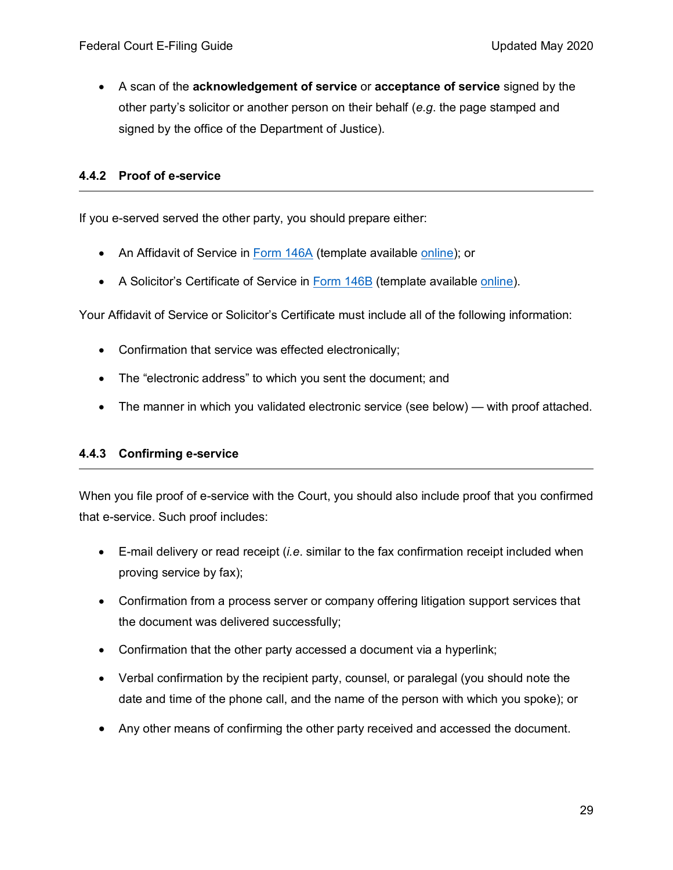• A scan of the **acknowledgement of service** or **acceptance of service** signed by the other party's solicitor or another person on their behalf (*e.g*. the page stamped and signed by the office of the Department of Justice).

#### <span id="page-28-0"></span>**4.4.2 Proof of e-service**

If you e-served served the other party, you should prepare either:

- An Affidavit of Service in [Form 146A](https://laws-lois.justice.gc.ca/eng/regulations/sor-98-106/page-66.html#h-193) (template available [online\)](https://www.fct-cf.gc.ca/content/assets/forms/base/form_146A_E.rtf); or
- A Solicitor's Certificate of Service in [Form 146B](https://laws-lois.justice.gc.ca/eng/regulations/sor-98-106/page-67.html) (template available [online\)](https://www.fct-cf.gc.ca/content/assets/forms/base/form_146B_E.rtf).

Your Affidavit of Service or Solicitor's Certificate must include all of the following information:

- Confirmation that service was effected electronically;
- The "electronic address" to which you sent the document; and
- The manner in which you validated electronic service (see below) with proof attached.

#### <span id="page-28-1"></span>**4.4.3 Confirming e-service**

When you file proof of e-service with the Court, you should also include proof that you confirmed that e-service. Such proof includes:

- E-mail delivery or read receipt (*i.e*. similar to the fax confirmation receipt included when proving service by fax);
- Confirmation from a process server or company offering litigation support services that the document was delivered successfully;
- Confirmation that the other party accessed a document via a hyperlink;
- Verbal confirmation by the recipient party, counsel, or paralegal (you should note the date and time of the phone call, and the name of the person with which you spoke); or
- Any other means of confirming the other party received and accessed the document.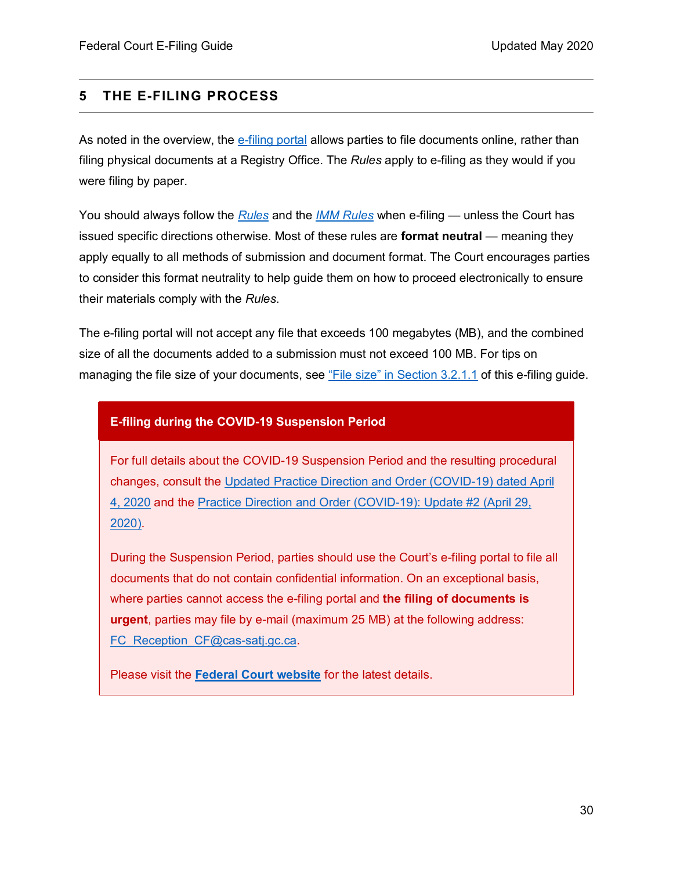### <span id="page-29-0"></span>**5 THE E-FILING PROCESS**

As noted in the overview, the [e-filing portal](https://www.fct-cf.gc.ca/en/pages/online-access/e-filing) allows parties to file documents online, rather than filing physical documents at a Registry Office. The *Rules* apply to e-filing as they would if you were filing by paper.

You should always follow the *[Rules](https://laws-lois.justice.gc.ca/eng/regulations/sor-98-106/index.html)* and the *[IMM Rules](https://laws-lois.justice.gc.ca/eng/regulations/sor-93-22/index.html)* when e-filing — unless the Court has issued specific directions otherwise. Most of these rules are **format neutral** — meaning they apply equally to all methods of submission and document format. The Court encourages parties to consider this format neutrality to help guide them on how to proceed electronically to ensure their materials comply with the *Rules*.

The e-filing portal will not accept any file that exceeds 100 megabytes (MB), and the combined size of all the documents added to a submission must not exceed 100 MB. For tips on managing the file size of your documents, see ["File size" in Section 3.2.1.1](#page-13-0) of this e-filing guide.

#### **E-filing during the COVID-19 Suspension Period**

For full details about the COVID-19 Suspension Period and the resulting procedural changes, consult the [Updated Practice Direction and Order \(COVID-19\) dated April](https://www.fct-cf.gc.ca/content/assets/pdf/base/FINAL%20-%20EN%20Covid-19%20Amended%20Practice%20Direction%20Order.pdf)  [4, 2020](https://www.fct-cf.gc.ca/content/assets/pdf/base/FINAL%20-%20EN%20Covid-19%20Amended%20Practice%20Direction%20Order.pdf) and the Practice Direction [and Order \(COVID-19\): Update #2 \(April 29,](https://www.fct-cf.gc.ca/Content/assets/pdf/base/Covid-19-Updated-Practice-Direction-Order-2-April-29-2020-FINAL-E.pdf)  [2020\).](https://www.fct-cf.gc.ca/Content/assets/pdf/base/Covid-19-Updated-Practice-Direction-Order-2-April-29-2020-FINAL-E.pdf)

During the Suspension Period, parties should use the Court's e-filing portal to file all documents that do not contain confidential information. On an exceptional basis, where parties cannot access the e-filing portal and **the filing of documents is urgent**, parties may file by e-mail (maximum 25 MB) at the following address: FC Reception CF@cas-satj.gc.ca.

Please visit the **[Federal Court website](https://www.fct-cf.gc.ca/)** for the latest details.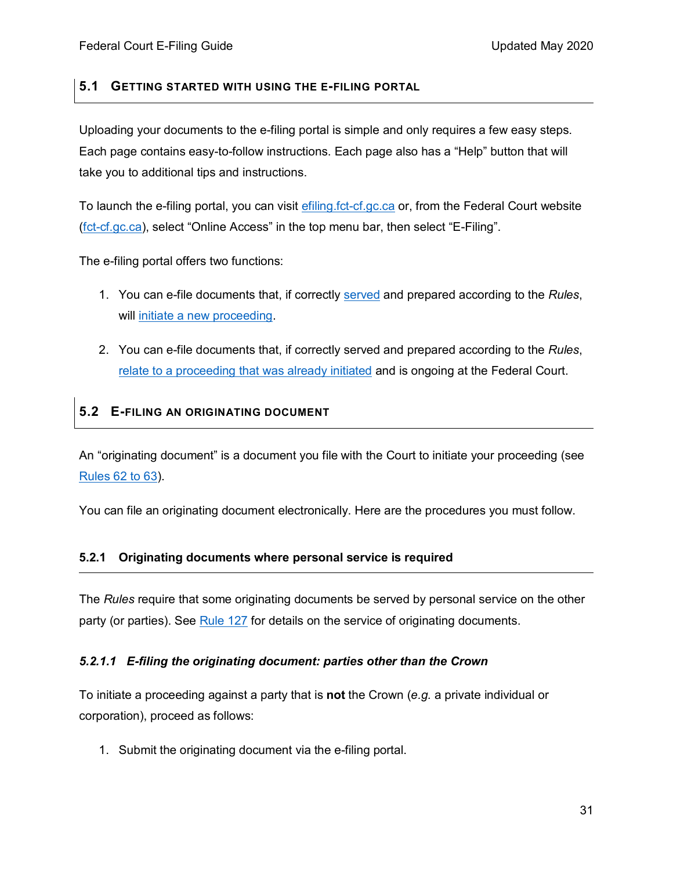### <span id="page-30-0"></span>**5.1 GETTING STARTED WITH USING THE E-FILING PORTAL**

Uploading your documents to the e-filing portal is simple and only requires a few easy steps. Each page contains easy-to-follow instructions. Each page also has a "Help" button that will take you to additional tips and instructions.

To launch the e-filing portal, you can visit [efiling.fct-cf.gc.ca](https://efiling.fct-cf.gc.ca/) or, from the Federal Court website [\(fct-cf.gc.ca\)](https://www.fct-cf.gc.ca/), select "Online Access" in the top menu bar, then select "E-Filing".

The e-filing portal offers two functions:

- 1. You can e-file documents that, if correctly [served](#page-22-0) and prepared according to the *Rules*, will [initiate a new proceeding.](https://efiling.fct-cf.gc.ca/efiling/flngstp1?8)
- 2. You can e-file documents that, if correctly served and prepared according to the *Rules*, relate to a proceeding [that was already initiated](https://efiling.fct-cf.gc.ca/efiling/xcrtcsnm?9) and is ongoing at the Federal Court.

### <span id="page-30-1"></span>**5.2 E-FILING AN ORIGINATING DOCUMENT**

An "originating document" is a document you file with the Court to initiate your proceeding (see [Rules 62 to 63\)](https://laws-lois.justice.gc.ca/eng/regulations/sor-98-106/page-6.html#h-1013174).

You can file an originating document electronically. Here are the procedures you must follow.

### <span id="page-30-2"></span>**5.2.1 Originating documents where personal service is required**

The *Rules* require that some originating documents be served by personal service on the other party (or parties). See [Rule 127](https://laws-lois.justice.gc.ca/eng/regulations/sor-98-106/page-11.html#h-1013648) for details on the service of originating documents.

#### *5.2.1.1 E-filing the originating document: parties other than the Crown*

To initiate a proceeding against a party that is **not** the Crown (*e.g.* a private individual or corporation), proceed as follows:

1. Submit the originating document via the e-filing portal.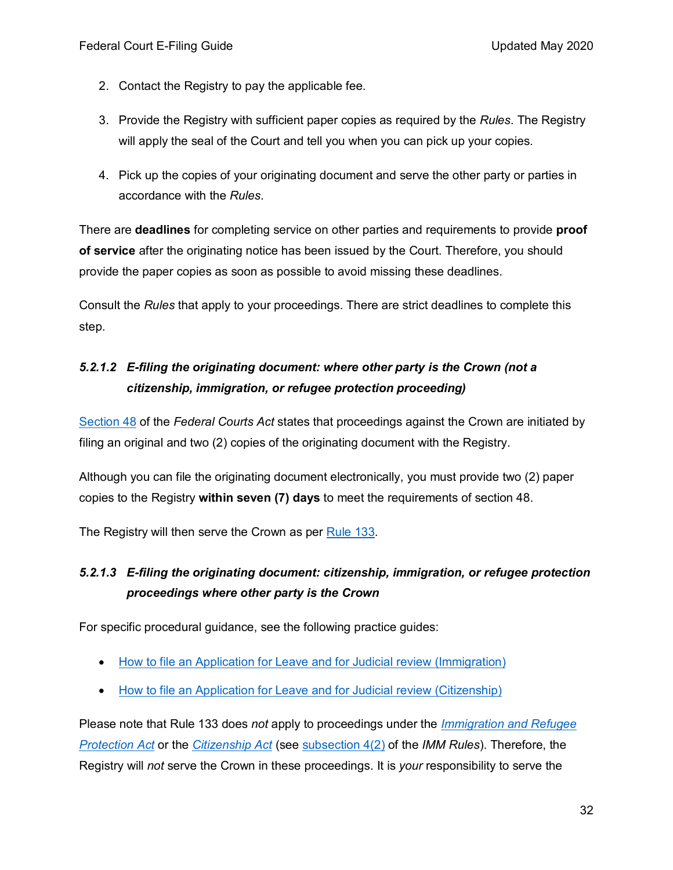- 2. Contact the Registry to pay the applicable fee.
- 3. Provide the Registry with sufficient paper copies as required by the *Rules*. The Registry will apply the seal of the Court and tell you when you can pick up your copies.
- 4. Pick up the copies of your originating document and serve the other party or parties in accordance with the *Rules*.

There are **deadlines** for completing service on other parties and requirements to provide **proof of service** after the originating notice has been issued by the Court. Therefore, you should provide the paper copies as soon as possible to avoid missing these deadlines.

Consult the *Rules* that apply to your proceedings. There are strict deadlines to complete this step.

## *5.2.1.2 E-filing the originating document: where other party is the Crown (not a citizenship, immigration, or refugee protection proceeding)*

[Section 48](https://laws-lois.justice.gc.ca/eng/acts/f-7/page-8.html#s-48) of the *Federal Courts Act* states that proceedings against the Crown are initiated by filing an original and two (2) copies of the originating document with the Registry.

Although you can file the originating document electronically, you must provide two (2) paper copies to the Registry **within seven (7) days** to meet the requirements of section 48.

The Registry will then serve the Crown as per [Rule](https://laws-lois.justice.gc.ca/eng/regulations/sor-98-106/page-12.html#s-133) 133.

# *5.2.1.3 E-filing the originating document: citizenship, immigration, or refugee protection proceedings where other party is the Crown*

For specific procedural guidance, see the following practice guides:

- [How to file an Application for Leave and for Judicial review \(Immigration\)](https://www.fct-cf.gc.ca/en/pages/representing-yourself/practice-guides/how-to-file-an-application-for-leave-and-for-judicial-review-immigration#cont)
- [How to file an Application for Leave and for Judicial review \(Citizenship\)](https://www.fct-cf.gc.ca/en/pages/representing-yourself/practice-guides/how-to-file-an-application-for-leave-and-for-judicial-review-citizenship)

Please note that Rule 133 does *not* apply to proceedings under the *[Immigration and Refugee](https://laws-lois.justice.gc.ca/eng/acts/I-2.5/)  [Protection Act](https://laws-lois.justice.gc.ca/eng/acts/I-2.5/)* or the *[Citizenship Act](https://laws-lois.justice.gc.ca/eng/acts/C-29/)* (see [subsection 4\(2\)](https://laws-lois.justice.gc.ca/eng/regulations/sor-93-22/page-1.html#s-4) of the *IMM Rules*). Therefore, the Registry will *not* serve the Crown in these proceedings. It is *your* responsibility to serve the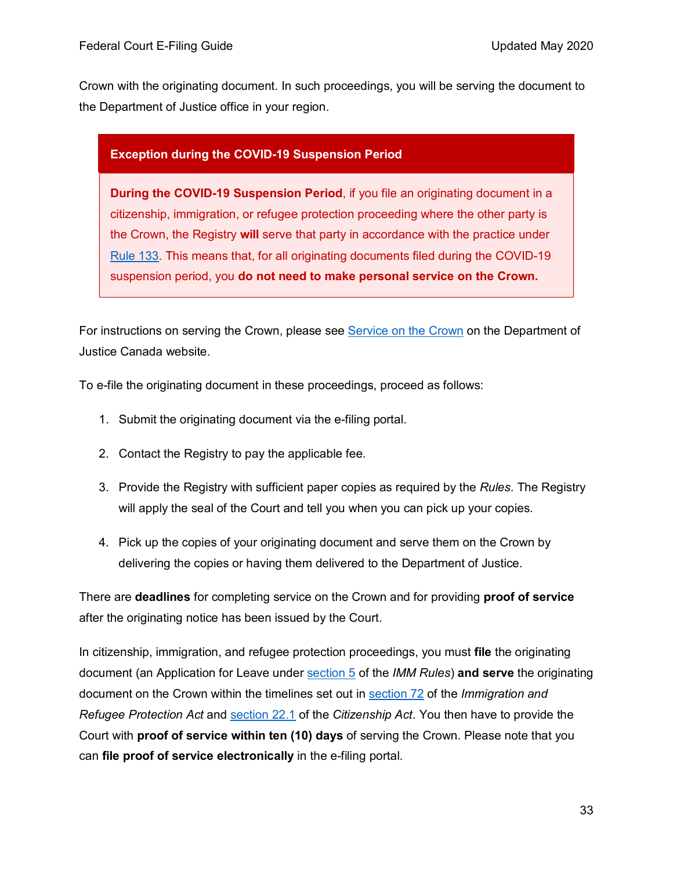Crown with the originating document. In such proceedings, you will be serving the document to the Department of Justice office in your region.

### **Exception during the COVID-19 Suspension Period**

**During the COVID-19 Suspension Period**, if you file an originating document in a citizenship, immigration, or refugee protection proceeding where the other party is the Crown, the Registry **will** serve that party in accordance with the practice under [Rule 133.](https://laws-lois.justice.gc.ca/eng/regulations/SOR-98-106/page-12.html#s-133) This means that, for all originating documents filed during the COVID-19 suspension period, you **do not need to make personal service on the Crown.**

For instructions on serving the Crown, please see [Service on the Crown](https://www.justice.gc.ca/eng/contact/Comm3.html) on the Department of Justice Canada website.

To e-file the originating document in these proceedings, proceed as follows:

- 1. Submit the originating document via the e-filing portal.
- 2. Contact the Registry to pay the applicable fee.
- 3. Provide the Registry with sufficient paper copies as required by the *Rules*. The Registry will apply the seal of the Court and tell you when you can pick up your copies.
- 4. Pick up the copies of your originating document and serve them on the Crown by delivering the copies or having them delivered to the Department of Justice.

There are **deadlines** for completing service on the Crown and for providing **proof of service**  after the originating notice has been issued by the Court.

In citizenship, immigration, and refugee protection proceedings, you must **file** the originating document (an Application for Leave under [section 5](https://laws-lois.justice.gc.ca/eng/regulations/sor-93-22/page-1.html#h-951041) of the *IMM Rules*) **and serve** the originating document on the Crown within the timelines set out in [section 72](https://laws.justice.gc.ca/eng/acts/i-2.5/page-13.html#h-275091) of the *Immigration and Refugee Protection Act* and [section 22.1](https://laws-lois.justice.gc.ca/eng/acts/c-29/page-7.html#h-82217) of the *Citizenship Act*. You then have to provide the Court with **proof of service within ten (10) days** of serving the Crown. Please note that you can **file proof of service electronically** in the e-filing portal.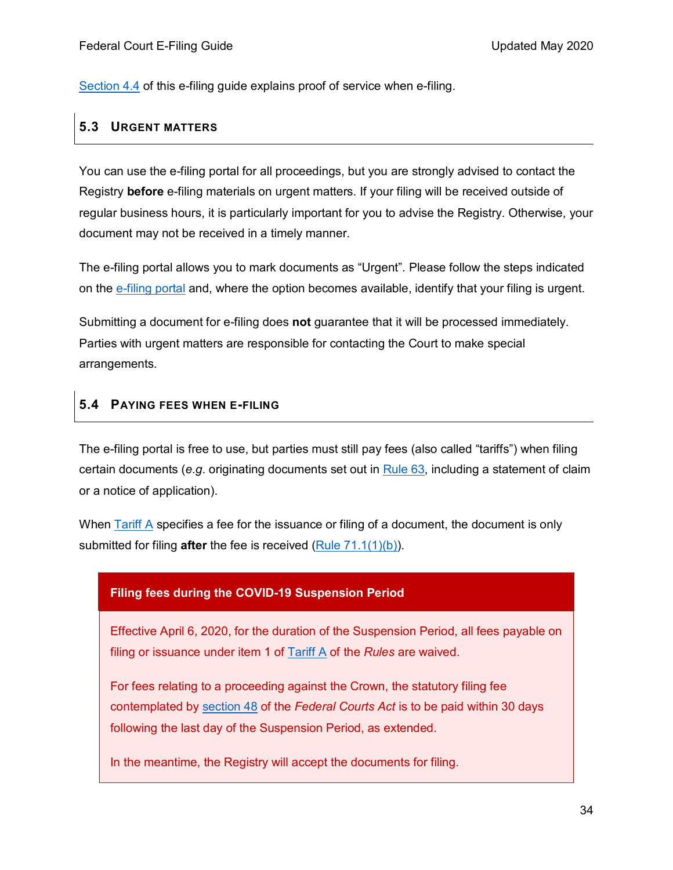[Section 4.4](#page-27-0) of this e-filing guide explains proof of service when e-filing.

### <span id="page-33-0"></span>**5.3 URGENT MATTERS**

You can use the e-filing portal for all proceedings, but you are strongly advised to contact the Registry **before** e-filing materials on urgent matters. If your filing will be received outside of regular business hours, it is particularly important for you to advise the Registry. Otherwise, your document may not be received in a timely manner.

The e-filing portal allows you to mark documents as "Urgent". Please follow the steps indicated on the [e-filing portal](https://efiling.fct-cf.gc.ca/efiling/hme/e;jsessionid=FEBFB8BBA8429C104F594154820734AA?0) and, where the option becomes available, identify that your filing is urgent.

Submitting a document for e-filing does **not** guarantee that it will be processed immediately. Parties with urgent matters are responsible for contacting the Court to make special arrangements.

### <span id="page-33-1"></span>**5.4 PAYING FEES WHEN E-FILING**

The e-filing portal is free to use, but parties must still pay fees (also called "tariffs") when filing certain documents (*e.g*. originating documents set out in [Rule 63,](https://laws-lois.justice.gc.ca/eng/regulations/sor-98-106/page-6.html#s-63) including a statement of claim or a notice of application).

When [Tariff A](https://laws-lois.justice.gc.ca/eng/regulations/SOR-98-106/page-125.html#docCont) specifies a fee for the issuance or filing of a document, the document is only submitted for filing **after** the fee is received [\(Rule 71.1\(1\)\(b\)\)](https://laws-lois.justice.gc.ca/eng/regulations/sor-98-106/page-7.html#s-71.1).

### **Filing fees during the COVID-19 Suspension Period**

Effective April 6, 2020, for the duration of the Suspension Period, all fees payable on filing or issuance under item 1 of [Tariff A](https://laws-lois.justice.gc.ca/eng/regulations/SOR-98-106/page-125.html#docCont) of the *Rules* are waived.

For fees relating to a proceeding against the Crown, the statutory filing fee contemplated by [section](https://laws-lois.justice.gc.ca/eng/acts/F-7/page-8.html#s-48) 48 of the *Federal Courts Act* is to be paid within 30 days following the last day of the Suspension Period, as extended.

In the meantime, the Registry will accept the documents for filing.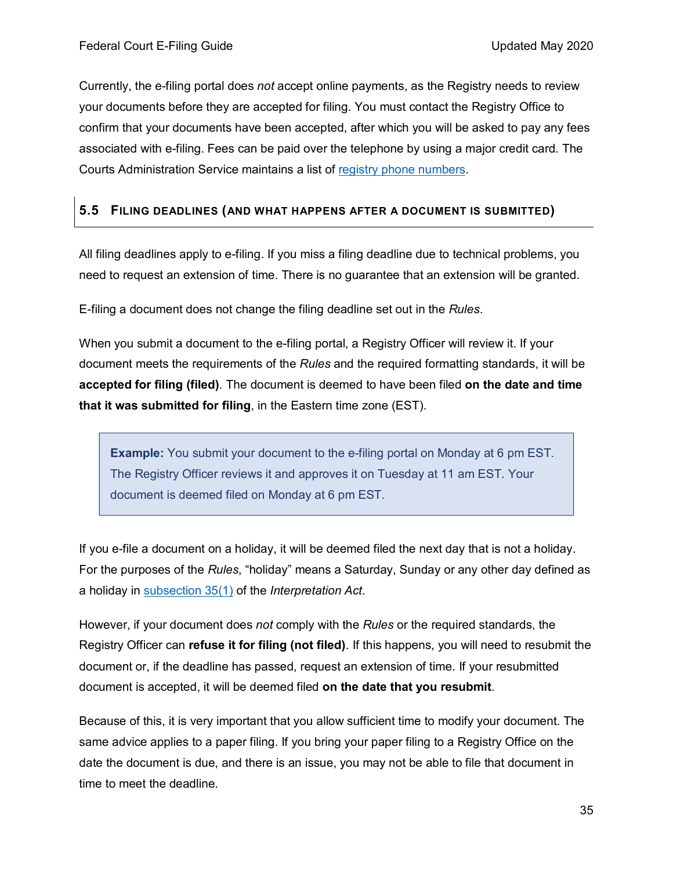Currently, the e-filing portal does *not* accept online payments, as the Registry needs to review your documents before they are accepted for filing. You must contact the Registry Office to confirm that your documents have been accepted, after which you will be asked to pay any fees associated with e-filing. Fees can be paid over the telephone by using a major credit card. The Courts Administration Service maintains a list of [registry phone numbers.](https://www.cas-satj.gc.ca/en/operations/numbers.shtml)

### <span id="page-34-0"></span>**5.5 FILING DEADLINES (AND WHAT HAPPENS AFTER A DOCUMENT IS SUBMITTED)**

All filing deadlines apply to e-filing. If you miss a filing deadline due to technical problems, you need to request an extension of time. There is no guarantee that an extension will be granted.

E-filing a document does not change the filing deadline set out in the *Rules*.

When you submit a document to the e-filing portal, a Registry Officer will review it. If your document meets the requirements of the *Rules* and the required formatting standards, it will be **accepted for filing (filed)**. The document is deemed to have been filed **on the date and time that it was submitted for filing**, in the Eastern time zone (EST).

**Example:** You submit your document to the e-filing portal on Monday at 6 pm EST. The Registry Officer reviews it and approves it on Tuesday at 11 am EST. Your document is deemed filed on Monday at 6 pm EST.

If you e-file a document on a holiday, it will be deemed filed the next day that is not a holiday. For the purposes of the *Rules*, "holiday" means a Saturday, Sunday or any other day defined as a holiday in [subsection 35\(1\)](https://laws-lois.justice.gc.ca/eng/acts/I-21/page-4.html#s-35) of the *Interpretation Act*.

However, if your document does *not* comply with the *Rules* or the required standards, the Registry Officer can **refuse it for filing (not filed)**. If this happens, you will need to resubmit the document or, if the deadline has passed, request an extension of time. If your resubmitted document is accepted, it will be deemed filed **on the date that you resubmit**.

Because of this, it is very important that you allow sufficient time to modify your document. The same advice applies to a paper filing. If you bring your paper filing to a Registry Office on the date the document is due, and there is an issue, you may not be able to file that document in time to meet the deadline.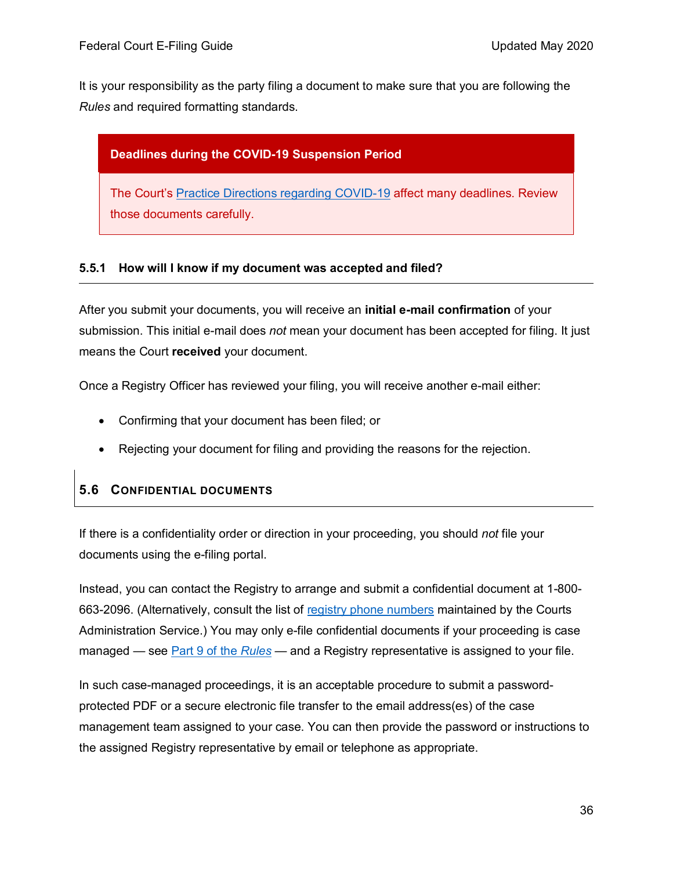It is your responsibility as the party filing a document to make sure that you are following the *Rules* and required formatting standards.

### **Deadlines during the COVID-19 Suspension Period**

The Court's [Practice Directions regarding COVID-19](https://www.fct-cf.gc.ca/en/pages/law-and-practice/notices#cont) affect many deadlines. Review those documents carefully.

### <span id="page-35-0"></span>**5.5.1 How will I know if my document was accepted and filed?**

After you submit your documents, you will receive an **initial e-mail confirmation** of your submission. This initial e-mail does *not* mean your document has been accepted for filing. It just means the Court **received** your document.

Once a Registry Officer has reviewed your filing, you will receive another e-mail either:

- Confirming that your document has been filed; or
- Rejecting your document for filing and providing the reasons for the rejection.

### <span id="page-35-1"></span>**5.6 CONFIDENTIAL DOCUMENTS**

If there is a confidentiality order or direction in your proceeding, you should *not* file your documents using the e-filing portal.

Instead, you can contact the Registry to arrange and submit a confidential document at 1-800- 663-2096. (Alternatively, consult the list of [registry phone numbers](https://www.cas-satj.gc.ca/en/operations/numbers.shtml) maintained by the Courts Administration Service.) You may only e-file confidential documents if your proceeding is case managed — see [Part 9 of the](https://laws-lois.justice.gc.ca/eng/regulations/sor-98-106/page-33.html#h-1015693) *Rules* — and a Registry representative is assigned to your file.

In such case-managed proceedings, it is an acceptable procedure to submit a passwordprotected PDF or a secure electronic file transfer to the email address(es) of the case management team assigned to your case. You can then provide the password or instructions to the assigned Registry representative by email or telephone as appropriate.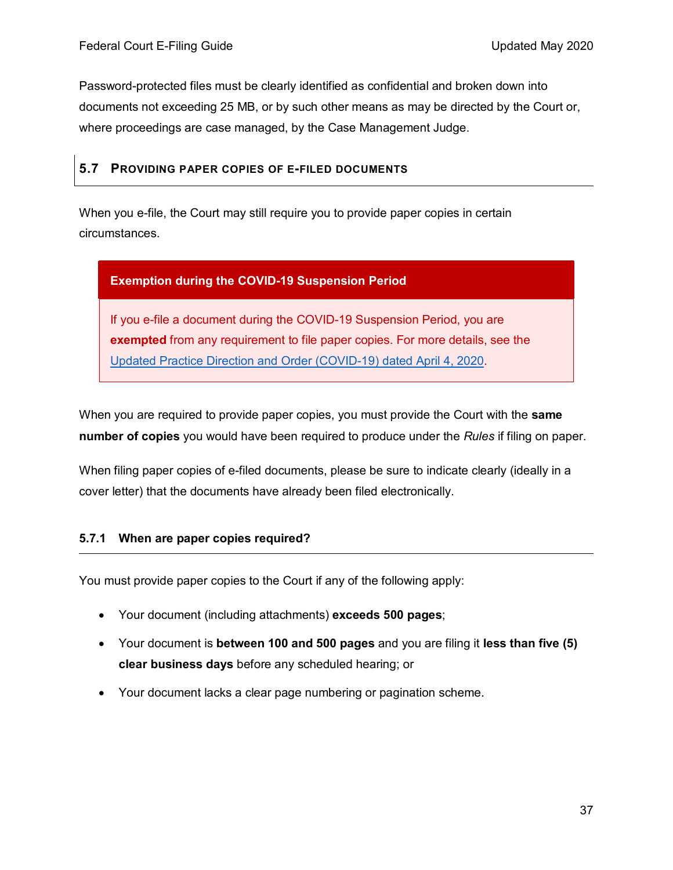Password-protected files must be clearly identified as confidential and broken down into documents not exceeding 25 MB, or by such other means as may be directed by the Court or, where proceedings are case managed, by the Case Management Judge.

### <span id="page-36-0"></span>**5.7 PROVIDING PAPER COPIES OF E-FILED DOCUMENTS**

When you e-file, the Court may still require you to provide paper copies in certain circumstances.

### **Exemption during the COVID-19 Suspension Period**

If you e-file a document during the COVID-19 Suspension Period, you are **exempted** from any requirement to file paper copies. For more details, see the [Updated Practice Direction and Order \(COVID-19\) dated April 4, 2020.](https://www.fct-cf.gc.ca/content/assets/pdf/base/FINAL%20-%20EN%20Covid-19%20Amended%20Practice%20Direction%20Order.pdf)

When you are required to provide paper copies, you must provide the Court with the **same number of copies** you would have been required to produce under the *Rules* if filing on paper.

When filing paper copies of e-filed documents, please be sure to indicate clearly (ideally in a cover letter) that the documents have already been filed electronically.

### <span id="page-36-1"></span>**5.7.1 When are paper copies required?**

You must provide paper copies to the Court if any of the following apply:

- Your document (including attachments) **exceeds 500 pages**;
- Your document is **between 100 and 500 pages** and you are filing it **less than five (5) clear business days** before any scheduled hearing; or
- Your document lacks a clear page numbering or pagination scheme.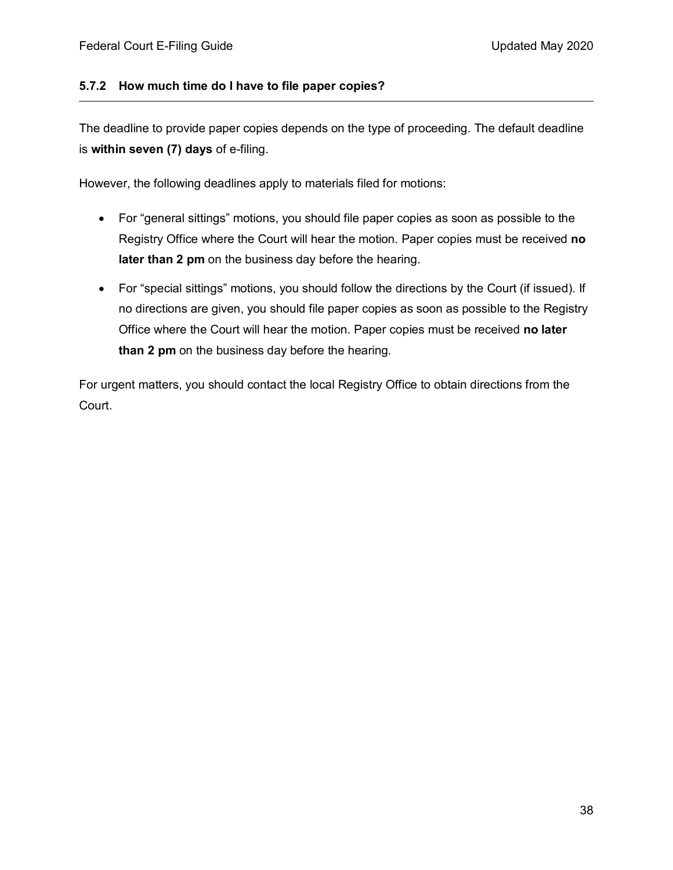### <span id="page-37-0"></span>**5.7.2 How much time do I have to file paper copies?**

The deadline to provide paper copies depends on the type of proceeding. The default deadline is **within seven (7) days** of e-filing.

However, the following deadlines apply to materials filed for motions:

- For "general sittings" motions, you should file paper copies as soon as possible to the Registry Office where the Court will hear the motion. Paper copies must be received **no later than 2 pm** on the business day before the hearing.
- For "special sittings" motions, you should follow the directions by the Court (if issued). If no directions are given, you should file paper copies as soon as possible to the Registry Office where the Court will hear the motion. Paper copies must be received **no later than 2 pm** on the business day before the hearing.

For urgent matters, you should contact the local Registry Office to obtain directions from the Court.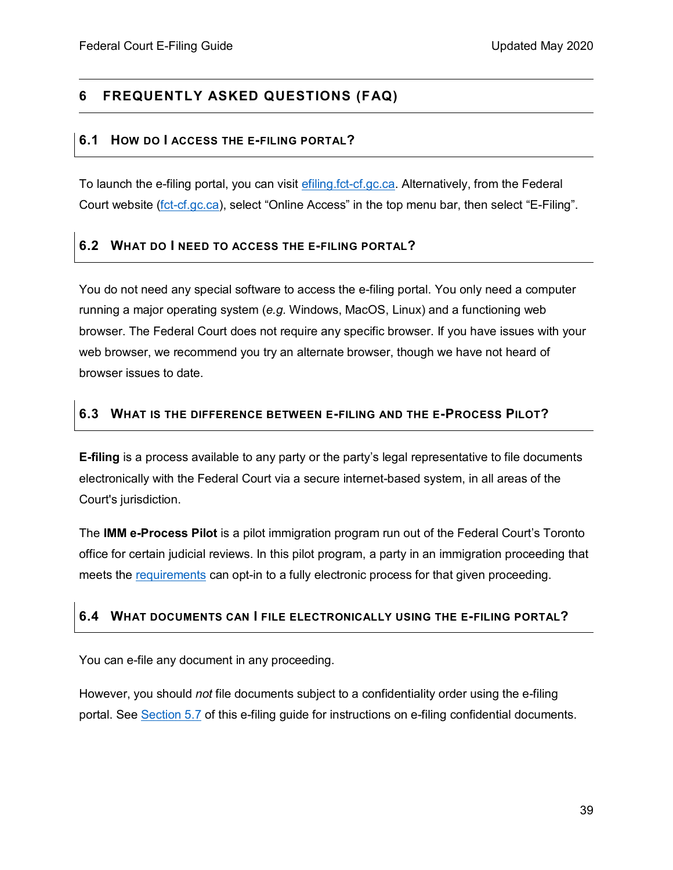### <span id="page-38-0"></span>**6 FREQUENTLY ASKED QUESTIONS (FAQ)**

#### <span id="page-38-1"></span>**6.1 HOW DO I ACCESS THE E-FILING PORTAL?**

To launch the e-filing portal, you can visit [efiling.fct-cf.gc.ca.](https://efiling.fct-cf.gc.ca/) Alternatively, from the Federal Court website [\(fct-cf.gc.ca\)](https://www.fct-cf.gc.ca/), select "Online Access" in the top menu bar, then select "E-Filing".

### <span id="page-38-2"></span>**6.2 WHAT DO I NEED TO ACCESS THE E-FILING PORTAL?**

You do not need any special software to access the e-filing portal. You only need a computer running a major operating system (*e.g.* Windows, MacOS, Linux) and a functioning web browser. The Federal Court does not require any specific browser. If you have issues with your web browser, we recommend you try an alternate browser, though we have not heard of browser issues to date.

### <span id="page-38-3"></span>**6.3 WHAT IS THE DIFFERENCE BETWEEN E-FILING AND THE E-PROCESS PILOT?**

**E-filing** is a process available to any party or the party's legal representative to file documents electronically with the Federal Court via a secure internet-based system, in all areas of the Court's jurisdiction.

The **IMM e-Process Pilot** is a pilot immigration program run out of the Federal Court's Toronto office for certain judicial reviews. In this pilot program, a party in an immigration proceeding that meets the [requirements](https://www.fct-cf.gc.ca/content/assets/pdf/base/IMM%20e-process%20pilot%20Summary%20ENG%20FINAL.pdf) can opt-in to a fully electronic process for that given proceeding.

### <span id="page-38-4"></span>**6.4 WHAT DOCUMENTS CAN I FILE ELECTRONICALLY USING THE E-FILING PORTAL?**

You can e-file any document in any proceeding.

However, you should *not* file documents subject to a confidentiality order using the e-filing portal. See [Section 5.7](#page-35-1) of this e-filing guide for instructions on e-filing confidential documents.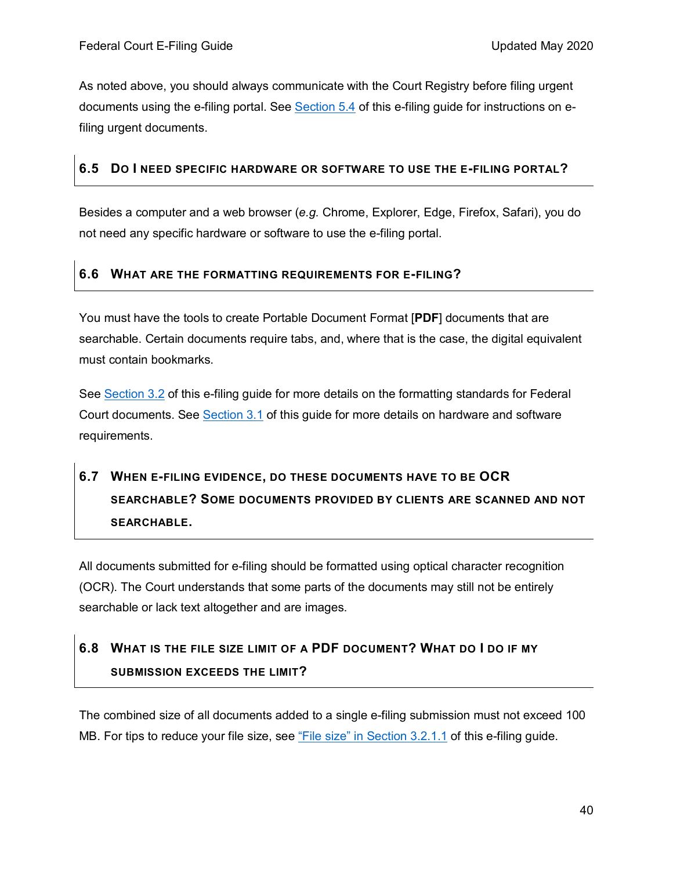As noted above, you should always communicate with the Court Registry before filing urgent documents using the e-filing portal. See [Section](#page-33-0) 5.4 of this e-filing guide for instructions on efiling urgent documents.

### <span id="page-39-0"></span>**6.5 DO I NEED SPECIFIC HARDWARE OR SOFTWARE TO USE THE E-FILING PORTAL?**

Besides a computer and a web browser (*e.g.* Chrome, Explorer, Edge, Firefox, Safari), you do not need any specific hardware or software to use the e-filing portal.

### <span id="page-39-1"></span>**6.6 WHAT ARE THE FORMATTING REQUIREMENTS FOR E-FILING?**

You must have the tools to create Portable Document Format [**PDF**] documents that are searchable. Certain documents require tabs, and, where that is the case, the digital equivalent must contain bookmarks.

See [Section 3.2](#page-11-0) of this e-filing guide for more details on the formatting standards for Federal Court documents. See [Section 3.1](#page-8-1) of this guide for more details on hardware and software requirements.

# <span id="page-39-2"></span>**6.7 WHEN E-FILING EVIDENCE, DO THESE DOCUMENTS HAVE TO BE OCR SEARCHABLE? SOME DOCUMENTS PROVIDED BY CLIENTS ARE SCANNED AND NOT SEARCHABLE.**

All documents submitted for e-filing should be formatted using optical character recognition (OCR). The Court understands that some parts of the documents may still not be entirely searchable or lack text altogether and are images.

# <span id="page-39-3"></span>**6.8 WHAT IS THE FILE SIZE LIMIT OF A PDF DOCUMENT? WHAT DO I DO IF MY SUBMISSION EXCEEDS THE LIMIT?**

The combined size of all documents added to a single e-filing submission must not exceed 100 MB. For tips to reduce your file size, see ["File size" in Section 3.2.1.1](#page-13-0) of this e-filing guide.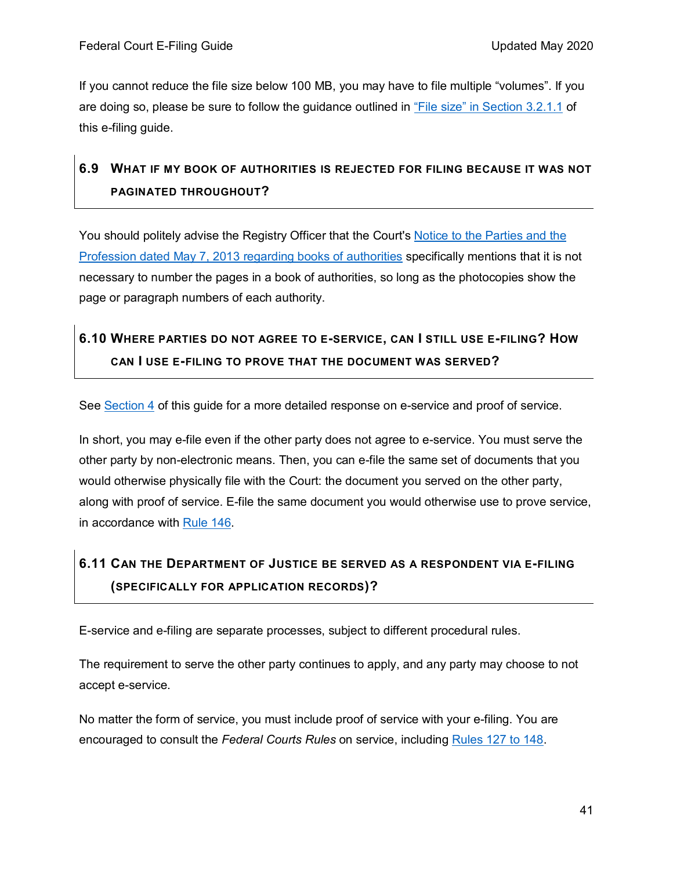If you cannot reduce the file size below 100 MB, you may have to file multiple "volumes". If you are doing so, please be sure to follow the guidance outlined in ["File size" in Section 3.2.1.1](#page-13-0) of this e-filing guide.

# <span id="page-40-0"></span>**6.9 WHAT IF MY BOOK OF AUTHORITIES IS REJECTED FOR FILING BECAUSE IT WAS NOT PAGINATED THROUGHOUT?**

You should politely advise the Registry Officer that the Court's Notice to the Parties and the Profession [dated May 7, 2013 regarding books of authorities](https://www.fct-cf.gc.ca/content/assets/pdf/base/notice-avis-7may2013.pdf) specifically mentions that it is not necessary to number the pages in a book of authorities, so long as the photocopies show the page or paragraph numbers of each authority.

# <span id="page-40-1"></span>**6.10 WHERE PARTIES DO NOT AGREE TO E-SERVICE, CAN I STILL USE E-FILING? HOW CAN I USE E-FILING TO PROVE THAT THE DOCUMENT WAS SERVED?**

See [Section 4](#page-23-0) of this guide for a more detailed response on e-service and proof of service.

In short, you may e-file even if the other party does not agree to e-service. You must serve the other party by non-electronic means. Then, you can e-file the same set of documents that you would otherwise physically file with the Court: the document you served on the other party, along with proof of service. E-file the same document you would otherwise use to prove service, in accordance with [Rule](https://laws-lois.justice.gc.ca/eng/regulations/sor-98-106/page-13.html#s-146) 146.

# <span id="page-40-2"></span>**6.11 CAN THE DEPARTMENT OF JUSTICE BE SERVED AS A RESPONDENT VIA E-FILING (SPECIFICALLY FOR APPLICATION RECORDS)?**

E-service and e-filing are separate processes, subject to different procedural rules.

The requirement to serve the other party continues to apply, and any party may choose to not accept e-service.

No matter the form of service, you must include proof of service with your e-filing. You are encouraged to consult the *Federal Courts Rules* on service, including [Rules 127](https://laws-lois.justice.gc.ca/eng/regulations/sor-98-106/page-11.html#h-1013648) to 148.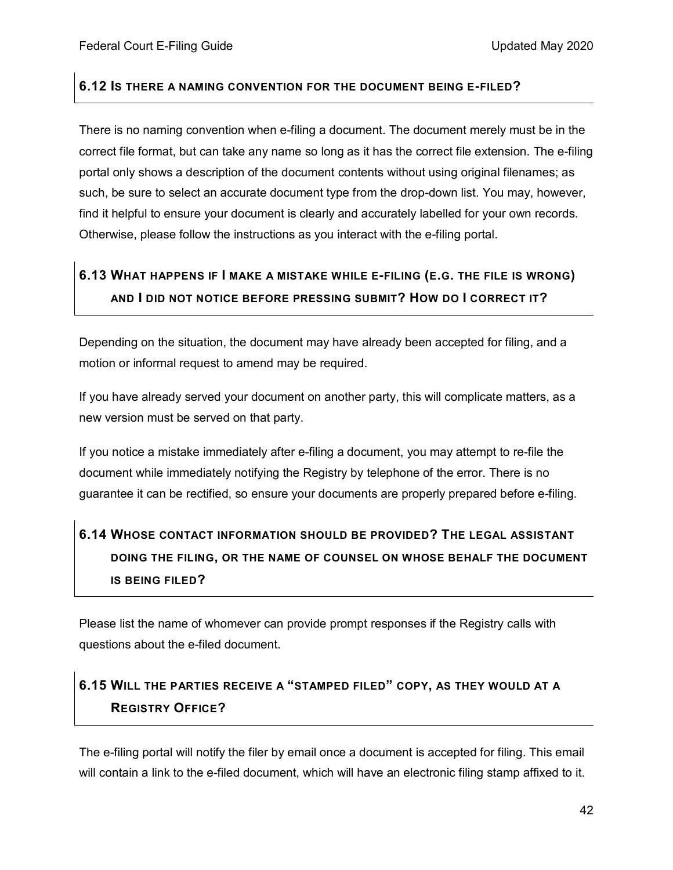### <span id="page-41-0"></span>**6.12 IS THERE A NAMING CONVENTION FOR THE DOCUMENT BEING E-FILED?**

There is no naming convention when e-filing a document. The document merely must be in the correct file format, but can take any name so long as it has the correct file extension. The e-filing portal only shows a description of the document contents without using original filenames; as such, be sure to select an accurate document type from the drop-down list. You may, however, find it helpful to ensure your document is clearly and accurately labelled for your own records. Otherwise, please follow the instructions as you interact with the e-filing portal.

# <span id="page-41-1"></span>**6.13 WHAT HAPPENS IF I MAKE A MISTAKE WHILE E-FILING (E.G. THE FILE IS WRONG) AND I DID NOT NOTICE BEFORE PRESSING SUBMIT? HOW DO I CORRECT IT?**

Depending on the situation, the document may have already been accepted for filing, and a motion or informal request to amend may be required.

If you have already served your document on another party, this will complicate matters, as a new version must be served on that party.

If you notice a mistake immediately after e-filing a document, you may attempt to re-file the document while immediately notifying the Registry by telephone of the error. There is no guarantee it can be rectified, so ensure your documents are properly prepared before e-filing.

# <span id="page-41-2"></span>**6.14 WHOSE CONTACT INFORMATION SHOULD BE PROVIDED? THE LEGAL ASSISTANT DOING THE FILING, OR THE NAME OF COUNSEL ON WHOSE BEHALF THE DOCUMENT IS BEING FILED?**

Please list the name of whomever can provide prompt responses if the Registry calls with questions about the e-filed document.

# <span id="page-41-3"></span>**6.15 WILL THE PARTIES RECEIVE A "STAMPED FILED" COPY, AS THEY WOULD AT A REGISTRY OFFICE?**

The e-filing portal will notify the filer by email once a document is accepted for filing. This email will contain a link to the e-filed document, which will have an electronic filing stamp affixed to it.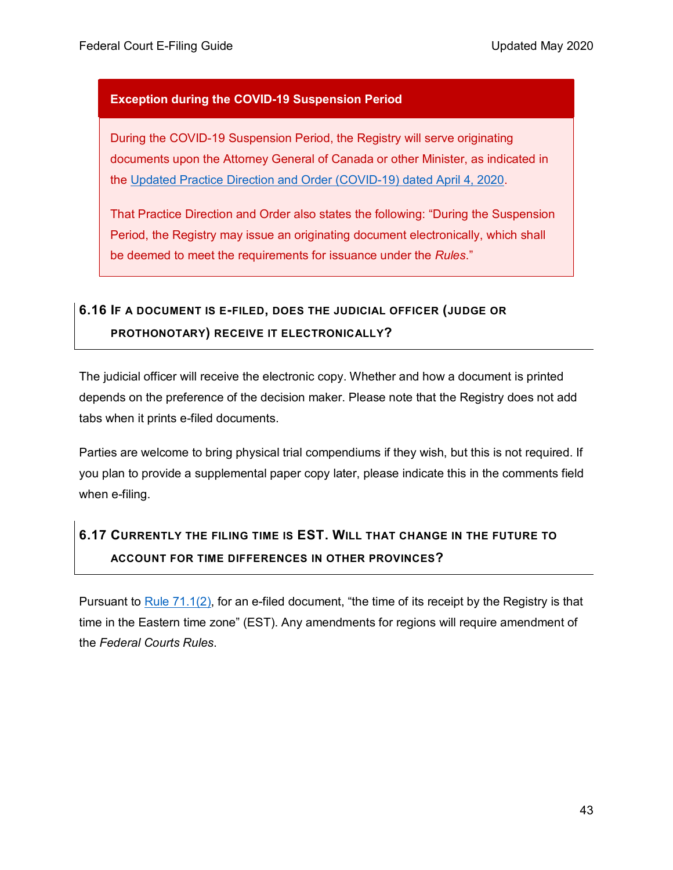### **Exception during the COVID-19 Suspension Period**

During the COVID-19 Suspension Period, the Registry will serve originating documents upon the Attorney General of Canada or other Minister, as indicated in the [Updated Practice Direction and Order \(COVID-19\) dated April 4, 2020.](https://www.fct-cf.gc.ca/content/assets/pdf/base/FINAL%20-%20EN%20Covid-19%20Amended%20Practice%20Direction%20Order.pdf)

That Practice Direction and Order also states the following: "During the Suspension Period, the Registry may issue an originating document electronically, which shall be deemed to meet the requirements for issuance under the *Rules*."

# <span id="page-42-0"></span>**6.16 IF A DOCUMENT IS E-FILED, DOES THE JUDICIAL OFFICER (JUDGE OR PROTHONOTARY) RECEIVE IT ELECTRONICALLY?**

The judicial officer will receive the electronic copy. Whether and how a document is printed depends on the preference of the decision maker. Please note that the Registry does not add tabs when it prints e-filed documents.

Parties are welcome to bring physical trial compendiums if they wish, but this is not required. If you plan to provide a supplemental paper copy later, please indicate this in the comments field when e-filing.

# <span id="page-42-1"></span>**6.17 CURRENTLY THE FILING TIME IS EST. WILL THAT CHANGE IN THE FUTURE TO ACCOUNT FOR TIME DIFFERENCES IN OTHER PROVINCES?**

Pursuant to [Rule 71.1\(2\),](https://laws-lois.justice.gc.ca/eng/regulations/sor-98-106/page-7.html#s-71.1) for an e-filed document, "the time of its receipt by the Registry is that time in the Eastern time zone" (EST). Any amendments for regions will require amendment of the *Federal Courts Rules*.